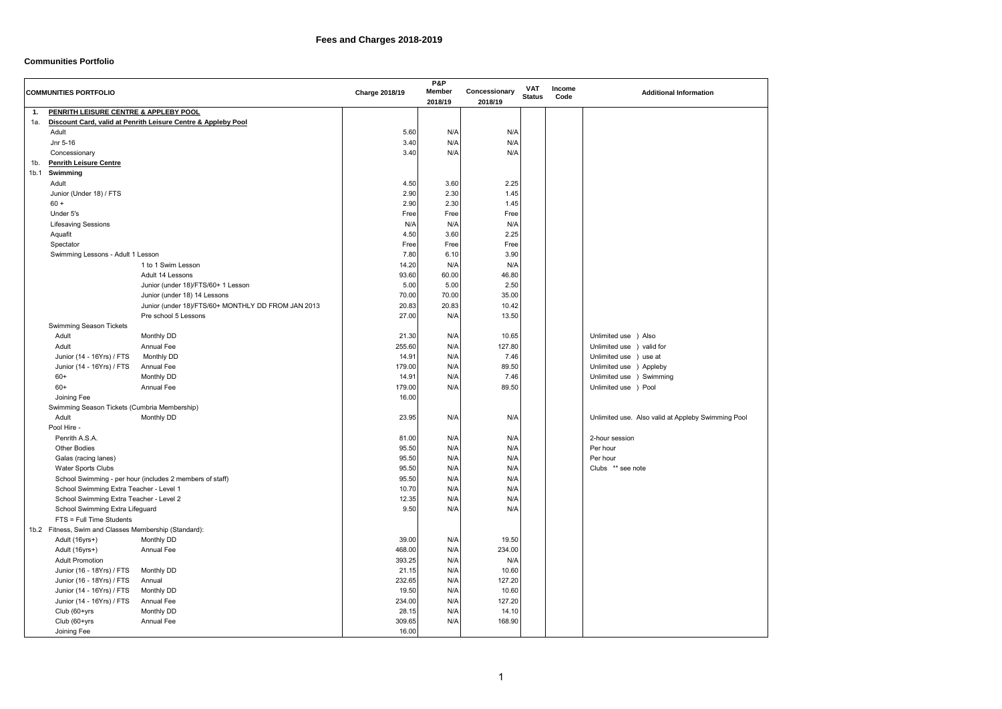

## **Communities Portfolio**

|                  | <b>COMMUNITIES PORTFOLIO</b>                          |                                                               | <b>Charge 2018/19</b> | <b>P&amp;P</b><br><b>Member</b><br>2018/19 | Concessionary<br>2018/19 | <b>VAT</b><br><b>Status</b> | Income<br>Code | <b>Additional Information</b>                      |
|------------------|-------------------------------------------------------|---------------------------------------------------------------|-----------------------|--------------------------------------------|--------------------------|-----------------------------|----------------|----------------------------------------------------|
| 1.               | PENRITH LEISURE CENTRE & APPLEBY POOL                 |                                                               |                       |                                            |                          |                             |                |                                                    |
| 1а.              |                                                       | Discount Card, valid at Penrith Leisure Centre & Appleby Pool |                       |                                            |                          |                             |                |                                                    |
|                  | Adult                                                 |                                                               | 5.60                  | N/A                                        | N/A                      |                             |                |                                                    |
|                  | Jnr 5-16                                              |                                                               | 3.40                  | N/A                                        | N/A                      |                             |                |                                                    |
|                  | Concessionary                                         |                                                               | 3.40                  | N/A                                        | N/A                      |                             |                |                                                    |
| 1b.              | <b>Penrith Leisure Centre</b>                         |                                                               |                       |                                            |                          |                             |                |                                                    |
| 1 <sub>b.1</sub> | Swimming                                              |                                                               |                       |                                            |                          |                             |                |                                                    |
|                  | Adult                                                 |                                                               | 4.50                  | 3.60                                       | 2.25                     |                             |                |                                                    |
|                  | Junior (Under 18) / FTS                               |                                                               | 2.90                  | 2.30                                       | 1.45                     |                             |                |                                                    |
|                  | $60 +$                                                |                                                               | 2.90                  | 2.30                                       | 1.45                     |                             |                |                                                    |
|                  | Under 5's                                             |                                                               | Free                  | Free                                       | Free                     |                             |                |                                                    |
|                  | <b>Lifesaving Sessions</b>                            |                                                               | N/A                   | N/A                                        | N/A                      |                             |                |                                                    |
|                  | Aquafit                                               |                                                               | 4.50                  | 3.60                                       | 2.25                     |                             |                |                                                    |
|                  | Spectator                                             |                                                               | Free                  | Free                                       | Free                     |                             |                |                                                    |
|                  | Swimming Lessons - Adult 1 Lesson                     |                                                               | 7.80                  | 6.10                                       | 3.90                     |                             |                |                                                    |
|                  |                                                       | 1 to 1 Swim Lesson                                            | 14.20                 | N/A                                        | N/A                      |                             |                |                                                    |
|                  |                                                       | Adult 14 Lessons                                              | 93.60                 | 60.00                                      | 46.80                    |                             |                |                                                    |
|                  |                                                       | Junior (under 18)/FTS/60+ 1 Lesson                            | 5.00                  | 5.00                                       | 2.50                     |                             |                |                                                    |
|                  |                                                       | Junior (under 18) 14 Lessons                                  | 70.00                 | 70.00                                      | 35.00                    |                             |                |                                                    |
|                  |                                                       | Junior (under 18)/FTS/60+ MONTHLY DD FROM JAN 2013            | 20.83                 | 20.83                                      | 10.42                    |                             |                |                                                    |
|                  |                                                       |                                                               |                       |                                            |                          |                             |                |                                                    |
|                  |                                                       | Pre school 5 Lessons                                          | 27.00                 | N/A                                        | 13.50                    |                             |                |                                                    |
|                  | <b>Swimming Season Tickets</b>                        |                                                               |                       |                                            |                          |                             |                |                                                    |
|                  | Adult                                                 | Monthly DD                                                    | 21.30                 | N/A                                        | 10.65                    |                             |                | Unlimited use ) Also                               |
|                  | Adult                                                 | <b>Annual Fee</b>                                             | 255.60                | N/A                                        | 127.80                   |                             |                | Unlimited use ) valid for                          |
|                  | Junior (14 - 16Yrs) / FTS                             | Monthly DD                                                    | 14.91                 | N/A                                        | 7.46                     |                             |                | Unlimited use ) use at                             |
|                  | Junior (14 - 16Yrs) / FTS                             | <b>Annual Fee</b>                                             | 179.00                | N/A                                        | 89.50                    |                             |                | Unlimited use ) Appleby                            |
|                  | $60+$                                                 | Monthly DD                                                    | 14.91                 | N/A                                        | 7.46                     |                             |                | Unlimited use ) Swimming                           |
|                  | $60+$                                                 | <b>Annual Fee</b>                                             | 179.00                | N/A                                        | 89.50                    |                             |                | Unlimited use ) Pool                               |
|                  | Joining Fee                                           |                                                               | 16.00                 |                                            |                          |                             |                |                                                    |
|                  | Swimming Season Tickets (Cumbria Membership)          |                                                               |                       |                                            |                          |                             |                |                                                    |
|                  | Adult                                                 | Monthly DD                                                    | 23.95                 | N/A                                        | N/A                      |                             |                | Unlimited use. Also valid at Appleby Swimming Pool |
|                  | Pool Hire -                                           |                                                               |                       |                                            |                          |                             |                |                                                    |
|                  | Penrith A.S.A.                                        |                                                               | 81.00                 | N/A                                        | N/A                      |                             |                | 2-hour session                                     |
|                  | <b>Other Bodies</b>                                   |                                                               | 95.50                 | N/A                                        | N/A                      |                             |                | Per hour                                           |
|                  | Galas (racing lanes)                                  |                                                               | 95.50                 | N/A                                        | N/A                      |                             |                | Per hour                                           |
|                  | Water Sports Clubs                                    |                                                               | 95.50                 | N/A                                        | N/A                      |                             |                | Clubs ** see note                                  |
|                  |                                                       | School Swimming - per hour (includes 2 members of staff)      | 95.50                 | N/A                                        | N/A                      |                             |                |                                                    |
|                  | School Swimming Extra Teacher - Level 1               |                                                               | 10.70                 | N/A                                        | N/A                      |                             |                |                                                    |
|                  | School Swimming Extra Teacher - Level 2               |                                                               | 12.35                 | N/A                                        | N/A                      |                             |                |                                                    |
|                  | School Swimming Extra Lifeguard                       |                                                               | 9.50                  | N/A                                        | N/A                      |                             |                |                                                    |
|                  | FTS = Full Time Students                              |                                                               |                       |                                            |                          |                             |                |                                                    |
|                  | 1b.2 Fitness, Swim and Classes Membership (Standard): |                                                               |                       |                                            |                          |                             |                |                                                    |
|                  | Adult (16yrs+)                                        | Monthly DD                                                    | 39.00                 | N/A                                        | 19.50                    |                             |                |                                                    |
|                  | Adult (16yrs+)                                        | Annual Fee                                                    | 468.00                | N/A                                        | 234.00                   |                             |                |                                                    |
|                  | <b>Adult Promotion</b>                                |                                                               | 393.25                | N/A                                        | N/A                      |                             |                |                                                    |
|                  | Junior (16 - 18Yrs) / FTS                             | Monthly DD                                                    | 21.15                 | N/A                                        | 10.60                    |                             |                |                                                    |
|                  | Junior (16 - 18Yrs) / FTS                             | Annual                                                        | 232.65                | N/A                                        | 127.20                   |                             |                |                                                    |
|                  | Junior (14 - 16Yrs) / FTS                             | Monthly DD                                                    | 19.50                 | N/A                                        | 10.60                    |                             |                |                                                    |
|                  | Junior (14 - 16Yrs) / FTS                             | <b>Annual Fee</b>                                             | 234.00                | N/A                                        | 127.20                   |                             |                |                                                    |
|                  | Club (60+yrs                                          | Monthly DD                                                    | 28.15                 | N/A                                        | 14.10                    |                             |                |                                                    |
|                  | Club (60+yrs                                          | Annual Fee                                                    | 309.65                | N/A                                        | 168.90                   |                             |                |                                                    |
|                  | Joining Fee                                           |                                                               | 16.00                 |                                            |                          |                             |                |                                                    |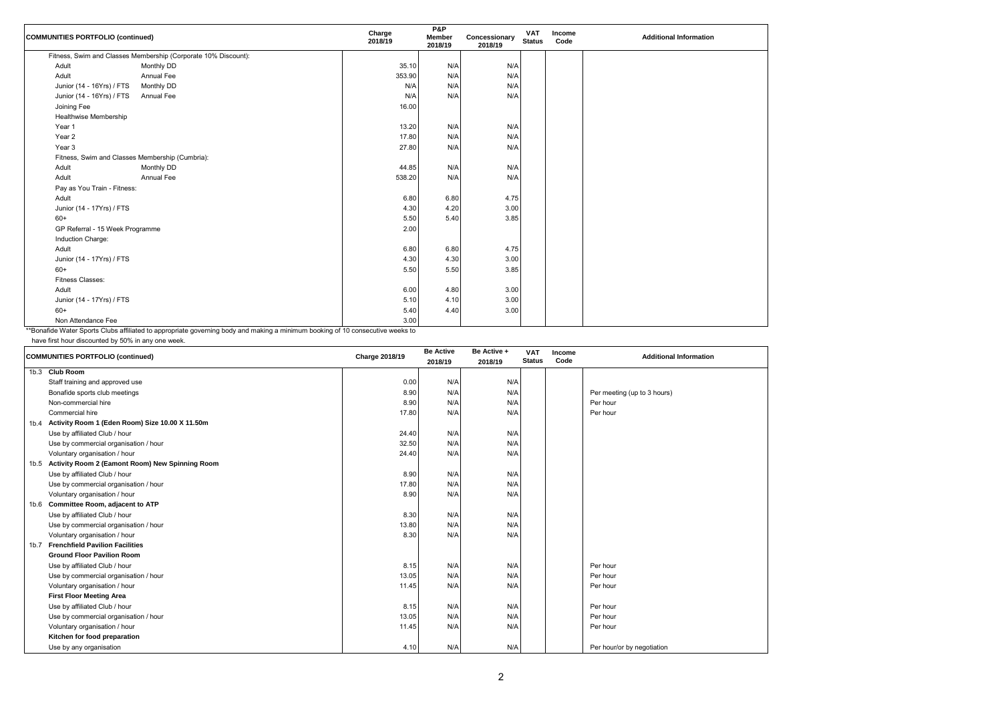

| <b>COMMUNITIES PORTFOLIO (continued)</b>        |                                                                | Charge<br>2018/19 | <b>P&amp;P</b><br><b>Member</b><br>2018/19 | Concessionary<br>2018/19 | <b>VAT</b><br><b>Status</b> | Income<br>Code | <b>Additional Information</b> |
|-------------------------------------------------|----------------------------------------------------------------|-------------------|--------------------------------------------|--------------------------|-----------------------------|----------------|-------------------------------|
|                                                 | Fitness, Swim and Classes Membership (Corporate 10% Discount): |                   |                                            |                          |                             |                |                               |
| Adult                                           | Monthly DD                                                     | 35.10             | N/A                                        | N/A                      |                             |                |                               |
| Adult                                           | Annual Fee                                                     | 353.90            | N/A                                        | N/A                      |                             |                |                               |
| Junior (14 - 16Yrs) / FTS                       | Monthly DD                                                     | N/A               | N/A                                        | N/A                      |                             |                |                               |
| Junior (14 - 16Yrs) / FTS                       | <b>Annual Fee</b>                                              | N/A               | N/A                                        | N/A                      |                             |                |                               |
| Joining Fee                                     |                                                                | 16.00             |                                            |                          |                             |                |                               |
| Healthwise Membership                           |                                                                |                   |                                            |                          |                             |                |                               |
| Year 1                                          |                                                                | 13.20             | N/A                                        | N/A                      |                             |                |                               |
| Year 2                                          |                                                                | 17.80             | N/A                                        | N/A                      |                             |                |                               |
| Year 3                                          |                                                                | 27.80             | N/A                                        | N/A                      |                             |                |                               |
| Fitness, Swim and Classes Membership (Cumbria): |                                                                |                   |                                            |                          |                             |                |                               |
| Adult                                           | Monthly DD                                                     | 44.85             | N/A                                        | N/A                      |                             |                |                               |
| Adult                                           | <b>Annual Fee</b>                                              | 538.20            | N/A                                        | N/A                      |                             |                |                               |
| Pay as You Train - Fitness:                     |                                                                |                   |                                            |                          |                             |                |                               |
| Adult                                           |                                                                | 6.80              | 6.80                                       | 4.75                     |                             |                |                               |
| Junior (14 - 17Yrs) / FTS                       |                                                                | 4.30              | 4.20                                       | 3.00                     |                             |                |                               |
| $60+$                                           |                                                                | 5.50              | 5.40                                       | 3.85                     |                             |                |                               |
| GP Referral - 15 Week Programme                 |                                                                | 2.00              |                                            |                          |                             |                |                               |
| Induction Charge:                               |                                                                |                   |                                            |                          |                             |                |                               |
| Adult                                           |                                                                | 6.80              | 6.80                                       | 4.75                     |                             |                |                               |
| Junior (14 - 17Yrs) / FTS                       |                                                                | 4.30              | 4.30                                       | 3.00                     |                             |                |                               |
| $60+$                                           |                                                                | 5.50              | 5.50                                       | 3.85                     |                             |                |                               |
| <b>Fitness Classes:</b>                         |                                                                |                   |                                            |                          |                             |                |                               |
| Adult                                           |                                                                | 6.00              | 4.80                                       | 3.00                     |                             |                |                               |
| Junior (14 - 17Yrs) / FTS                       |                                                                | 5.10              | 4.10                                       | 3.00                     |                             |                |                               |
| $60+$                                           |                                                                | 5.40              | 4.40                                       | 3.00                     |                             |                |                               |
| Non Attendance Fee                              |                                                                | 3.00              |                                            |                          |                             |                |                               |

\*\*Bonafide Water Sports Clubs affiliated to appropriate governing body and making a minimum booking of 10 consecutive weeks to

have first hour discounted by 50% in any one week.

| <b>COMMUNITIES PORTFOLIO (continued)</b> |                                                 | <b>Charge 2018/19</b> | <b>Be Active</b> | Be Active + | <b>VAT</b>    | <b>Income</b> | <b>Additional Information</b> |
|------------------------------------------|-------------------------------------------------|-----------------------|------------------|-------------|---------------|---------------|-------------------------------|
|                                          |                                                 |                       | 2018/19          | 2018/19     | <b>Status</b> | Code          |                               |
|                                          | 1b.3 Club Room                                  |                       |                  |             |               |               |                               |
|                                          | Staff training and approved use                 | 0.00                  | N/A              | N/A         |               |               |                               |
|                                          | Bonafide sports club meetings                   | 8.90                  | N/A              | N/A         |               |               | Per meeting (up to 3 hours)   |
|                                          | Non-commercial hire                             | 8.90                  | N/A              | N/A         |               |               | Per hour                      |
|                                          | Commercial hire                                 | 17.80                 | N/A              | N/A         |               |               | Per hour                      |
| 1b.4                                     | Activity Room 1 (Eden Room) Size 10.00 X 11.50m |                       |                  |             |               |               |                               |
|                                          | Use by affiliated Club / hour                   | 24.40                 | N/A              | N/A         |               |               |                               |
|                                          | Use by commercial organisation / hour           | 32.50                 | N/A              | N/A         |               |               |                               |
|                                          | Voluntary organisation / hour                   | 24.40                 | N/A              | N/A         |               |               |                               |
| 1b.5                                     | Activity Room 2 (Eamont Room) New Spinning Room |                       |                  |             |               |               |                               |
|                                          | Use by affiliated Club / hour                   | 8.90                  | N/A              | N/A         |               |               |                               |
|                                          | Use by commercial organisation / hour           | 17.80                 | N/A              | N/A         |               |               |                               |
|                                          | Voluntary organisation / hour                   | 8.90                  | N/A              | N/A         |               |               |                               |
|                                          | 1b.6 Committee Room, adjacent to ATP            |                       |                  |             |               |               |                               |
|                                          | Use by affiliated Club / hour                   | 8.30                  | N/A              | N/A         |               |               |                               |
|                                          | Use by commercial organisation / hour           | 13.80                 | N/A              | N/A         |               |               |                               |
|                                          | Voluntary organisation / hour                   | 8.30                  | N/A              | N/A         |               |               |                               |
| 1b.7                                     | <b>Frenchfield Pavilion Facilities</b>          |                       |                  |             |               |               |                               |
|                                          | <b>Ground Floor Pavilion Room</b>               |                       |                  |             |               |               |                               |
|                                          | Use by affiliated Club / hour                   | 8.15                  | N/A              | N/A         |               |               | Per hour                      |
|                                          | Use by commercial organisation / hour           | 13.05                 | N/A              | N/A         |               |               | Per hour                      |
|                                          | Voluntary organisation / hour                   | 11.45                 | N/A              | N/A         |               |               | Per hour                      |
|                                          | <b>First Floor Meeting Area</b>                 |                       |                  |             |               |               |                               |
|                                          | Use by affiliated Club / hour                   | 8.15                  | N/A              | N/A         |               |               | Per hour                      |
|                                          | Use by commercial organisation / hour           | 13.05                 | N/A              | N/A         |               |               | Per hour                      |
|                                          | Voluntary organisation / hour                   | 11.45                 | N/A              | N/A         |               |               | Per hour                      |
|                                          | Kitchen for food preparation                    |                       |                  |             |               |               |                               |
|                                          | Use by any organisation                         | 4.10                  | N/A              | N/A         |               |               | Per hour/or by negotiation    |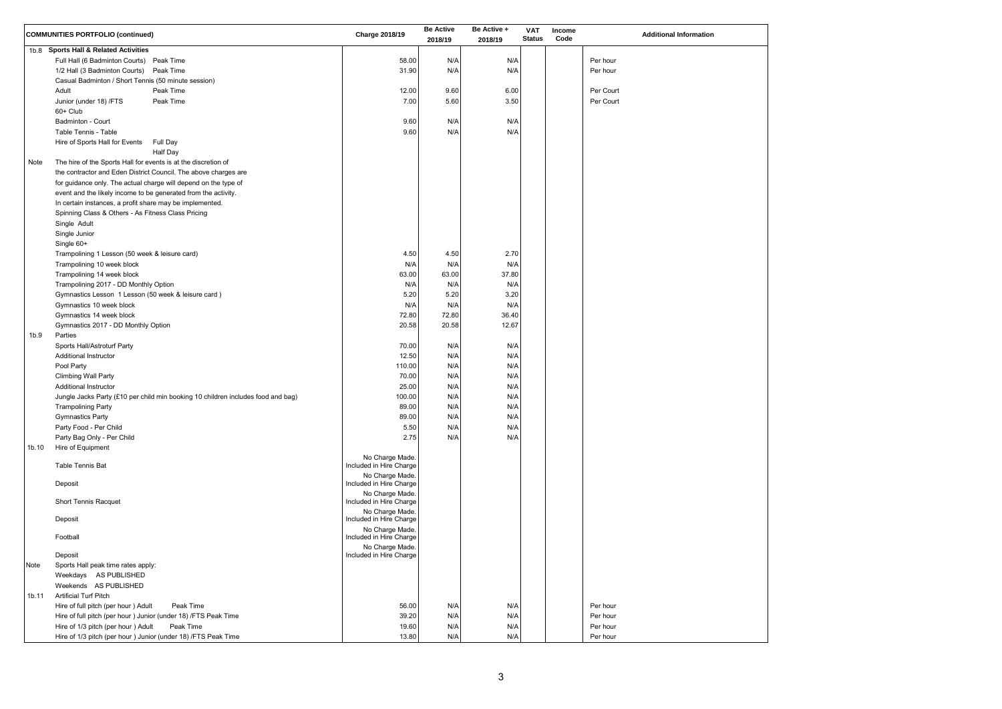

|                   | <b>COMMUNITIES PORTFOLIO (continued)</b>                                         | <b>Charge 2018/19</b>                      | <b>Be Active</b><br>2018/19 | Be Active +<br>2018/19 | <b>VAT</b><br><b>Status</b> | Income<br>Code | <b>Additional Information</b> |
|-------------------|----------------------------------------------------------------------------------|--------------------------------------------|-----------------------------|------------------------|-----------------------------|----------------|-------------------------------|
|                   | 1b.8 Sports Hall & Related Activities                                            |                                            |                             |                        |                             |                |                               |
|                   | Full Hall (6 Badminton Courts) Peak Time                                         | 58.00                                      | N/A                         | N/A                    |                             |                | Per hour                      |
|                   | 1/2 Hall (3 Badminton Courts) Peak Time                                          | 31.90                                      | N/A                         | N/A                    |                             |                | Per hour                      |
|                   | Casual Badminton / Short Tennis (50 minute session)                              |                                            |                             |                        |                             |                |                               |
|                   | Adult<br>Peak Time                                                               | 12.00                                      | 9.60                        | 6.00                   |                             |                | Per Court                     |
|                   | Peak Time<br>Junior (under 18) /FTS                                              | 7.00                                       | 5.60                        | 3.50                   |                             |                | Per Court                     |
|                   | 60+ Club                                                                         |                                            |                             |                        |                             |                |                               |
|                   | <b>Badminton - Court</b>                                                         | 9.60                                       | N/A                         | N/A                    |                             |                |                               |
|                   | Table Tennis - Table                                                             | 9.60                                       | N/A                         | N/A                    |                             |                |                               |
|                   | Hire of Sports Hall for Events<br>Full Day                                       |                                            |                             |                        |                             |                |                               |
|                   | <b>Half Day</b>                                                                  |                                            |                             |                        |                             |                |                               |
| Note              | The hire of the Sports Hall for events is at the discretion of                   |                                            |                             |                        |                             |                |                               |
|                   | the contractor and Eden District Council. The above charges are                  |                                            |                             |                        |                             |                |                               |
|                   | for guidance only. The actual charge will depend on the type of                  |                                            |                             |                        |                             |                |                               |
|                   | event and the likely income to be generated from the activity.                   |                                            |                             |                        |                             |                |                               |
|                   | In certain instances, a profit share may be implemented.                         |                                            |                             |                        |                             |                |                               |
|                   | Spinning Class & Others - As Fitness Class Pricing                               |                                            |                             |                        |                             |                |                               |
|                   | Single Adult                                                                     |                                            |                             |                        |                             |                |                               |
|                   | Single Junior                                                                    |                                            |                             |                        |                             |                |                               |
|                   | Single 60+                                                                       |                                            |                             |                        |                             |                |                               |
|                   | Trampolining 1 Lesson (50 week & leisure card)                                   | 4.50                                       | 4.50                        | 2.70                   |                             |                |                               |
|                   | Trampolining 10 week block                                                       | N/A                                        | N/A                         | N/A                    |                             |                |                               |
|                   | Trampolining 14 week block                                                       | 63.00                                      | 63.00                       | 37.80                  |                             |                |                               |
|                   | Trampolining 2017 - DD Monthly Option                                            | N/A                                        | N/A                         | N/A                    |                             |                |                               |
|                   | Gymnastics Lesson 1 Lesson (50 week & leisure card)                              | 5.20                                       | 5.20                        | 3.20                   |                             |                |                               |
|                   | Gymnastics 10 week block                                                         | N/A                                        | N/A                         | N/A                    |                             |                |                               |
|                   | Gymnastics 14 week block                                                         | 72.80                                      | 72.80                       | 36.40                  |                             |                |                               |
|                   | Gymnastics 2017 - DD Monthly Option                                              | 20.58                                      | 20.58                       | 12.67                  |                             |                |                               |
| 1b.9              | Parties                                                                          |                                            |                             |                        |                             |                |                               |
|                   | Sports Hall/Astroturf Party                                                      | 70.00                                      | N/A                         | N/A                    |                             |                |                               |
|                   | <b>Additional Instructor</b>                                                     | 12.50                                      | N/A                         | N/A                    |                             |                |                               |
|                   | Pool Party                                                                       | 110.00                                     | N/A                         | N/A                    |                             |                |                               |
|                   | Climbing Wall Party                                                              | 70.00                                      | N/A                         | N/A                    |                             |                |                               |
|                   | <b>Additional Instructor</b>                                                     | 25.00                                      | N/A                         | N/A                    |                             |                |                               |
|                   | Jungle Jacks Party (£10 per child min booking 10 children includes food and bag) | 100.00                                     | N/A                         | N/A                    |                             |                |                               |
|                   | <b>Trampolining Party</b>                                                        | 89.00                                      | N/A                         | N/A                    |                             |                |                               |
|                   | <b>Gymnastics Party</b>                                                          | 89.00                                      | N/A                         | N/A                    |                             |                |                               |
|                   | Party Food - Per Child                                                           | 5.50                                       | N/A                         | N/A                    |                             |                |                               |
|                   | Party Bag Only - Per Child                                                       | 2.75                                       | N/A                         | N/A                    |                             |                |                               |
| 1 <sub>b.10</sub> | Hire of Equipment                                                                |                                            |                             |                        |                             |                |                               |
|                   |                                                                                  | No Charge Made.                            |                             |                        |                             |                |                               |
|                   | Table Tennis Bat                                                                 | Included in Hire Charge                    |                             |                        |                             |                |                               |
|                   |                                                                                  | No Charge Made.                            |                             |                        |                             |                |                               |
|                   | Deposit                                                                          | Included in Hire Charge                    |                             |                        |                             |                |                               |
|                   |                                                                                  | No Charge Made.                            |                             |                        |                             |                |                               |
|                   | <b>Short Tennis Racquet</b>                                                      | Included in Hire Charge                    |                             |                        |                             |                |                               |
|                   | Deposit                                                                          | No Charge Made.<br>Included in Hire Charge |                             |                        |                             |                |                               |
|                   |                                                                                  | No Charge Made.                            |                             |                        |                             |                |                               |
|                   | Football                                                                         | Included in Hire Charge                    |                             |                        |                             |                |                               |
|                   |                                                                                  | No Charge Made.                            |                             |                        |                             |                |                               |
|                   | Deposit                                                                          | Included in Hire Charge                    |                             |                        |                             |                |                               |
| Note              | Sports Hall peak time rates apply:                                               |                                            |                             |                        |                             |                |                               |
|                   | Weekdays AS PUBLISHED                                                            |                                            |                             |                        |                             |                |                               |
|                   | Weekends AS PUBLISHED                                                            |                                            |                             |                        |                             |                |                               |
| 1b.11             | <b>Artificial Turf Pitch</b>                                                     |                                            |                             |                        |                             |                |                               |
|                   | Hire of full pitch (per hour ) Adult<br>Peak Time                                | 56.00                                      | N/A                         | N/A                    |                             |                | Per hour                      |
|                   | Hire of full pitch (per hour ) Junior (under 18) /FTS Peak Time                  | 39.20                                      | N/A                         | N/A                    |                             |                | Per hour                      |
|                   | Hire of 1/3 pitch (per hour) Adult<br>Peak Time                                  | 19.60                                      | N/A                         | N/A                    |                             |                | Per hour                      |
|                   | Hire of 1/3 pitch (per hour ) Junior (under 18) /FTS Peak Time                   | 13.80                                      | N/A                         | N/A                    |                             |                | Per hour                      |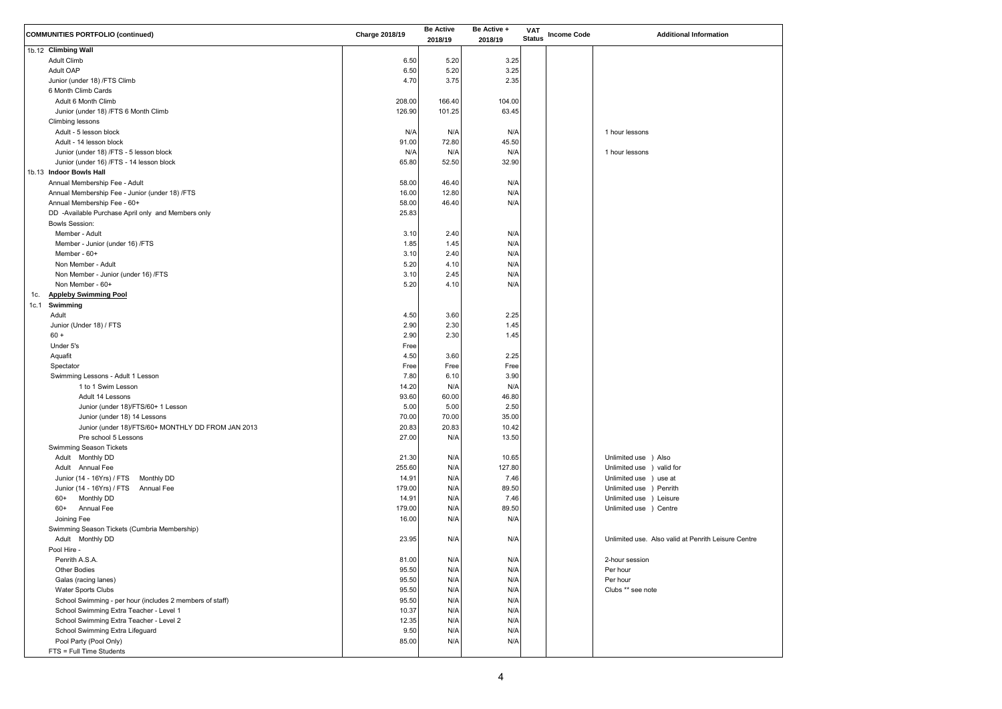

| <b>COMMUNITIES PORTFOLIO (continued)</b>                 | <b>Charge 2018/19</b> | <b>Be Active</b><br>2018/19 | Be Active +<br>2018/19 | <b>VAT</b><br><b>Status</b> | <b>Income Code</b> | <b>Additional Information</b>                       |
|----------------------------------------------------------|-----------------------|-----------------------------|------------------------|-----------------------------|--------------------|-----------------------------------------------------|
| 1b.12 Climbing Wall                                      |                       |                             |                        |                             |                    |                                                     |
| <b>Adult Climb</b>                                       | 6.50                  | 5.20                        | 3.25                   |                             |                    |                                                     |
| <b>Adult OAP</b>                                         | 6.50                  | 5.20                        | 3.25                   |                             |                    |                                                     |
| Junior (under 18) /FTS Climb                             | 4.70                  | 3.75                        | 2.35                   |                             |                    |                                                     |
| 6 Month Climb Cards                                      |                       |                             |                        |                             |                    |                                                     |
| Adult 6 Month Climb                                      | 208.00                | 166.40                      | 104.00                 |                             |                    |                                                     |
| Junior (under 18) /FTS 6 Month Climb                     | 126.90                | 101.25                      | 63.45                  |                             |                    |                                                     |
| Climbing lessons                                         |                       |                             |                        |                             |                    |                                                     |
| Adult - 5 lesson block                                   | N/A                   | N/A                         | N/A                    |                             |                    | 1 hour lessons                                      |
| Adult - 14 lesson block                                  | 91.00                 | 72.80                       | 45.50                  |                             |                    |                                                     |
| Junior (under 18) /FTS - 5 lesson block                  | N/A                   | N/A                         | N/A                    |                             |                    | 1 hour lessons                                      |
| Junior (under 16) /FTS - 14 lesson block                 | 65.80                 | 52.50                       | 32.90                  |                             |                    |                                                     |
| 1b.13 Indoor Bowls Hall                                  |                       |                             |                        |                             |                    |                                                     |
| Annual Membership Fee - Adult                            | 58.00                 | 46.40                       | N/A                    |                             |                    |                                                     |
| Annual Membership Fee - Junior (under 18) /FTS           | 16.00                 | 12.80                       | N/A                    |                             |                    |                                                     |
| Annual Membership Fee - 60+                              | 58.00                 | 46.40                       | N/A                    |                             |                    |                                                     |
| DD -Available Purchase April only and Members only       | 25.83                 |                             |                        |                             |                    |                                                     |
| <b>Bowls Session:</b>                                    |                       |                             |                        |                             |                    |                                                     |
| Member - Adult                                           | 3.10                  | 2.40                        | N/A                    |                             |                    |                                                     |
| Member - Junior (under 16) /FTS                          | 1.85                  | 1.45                        | N/A                    |                             |                    |                                                     |
| Member - $60+$                                           | 3.10                  | 2.40                        | N/A                    |                             |                    |                                                     |
| Non Member - Adult                                       | 5.20                  | 4.10                        | N/A                    |                             |                    |                                                     |
| Non Member - Junior (under 16) /FTS                      | 3.10                  | 2.45                        | N/A                    |                             |                    |                                                     |
| Non Member - 60+                                         | 5.20                  | 4.10                        | N/A                    |                             |                    |                                                     |
| <b>Appleby Swimming Pool</b><br>1c.                      |                       |                             |                        |                             |                    |                                                     |
| Swimming<br>1c.1                                         |                       |                             |                        |                             |                    |                                                     |
| Adult                                                    | 4.50                  | 3.60                        | 2.25                   |                             |                    |                                                     |
| Junior (Under 18) / FTS                                  | 2.90                  | 2.30                        | 1.45                   |                             |                    |                                                     |
| $60 +$                                                   | 2.90                  | 2.30                        | 1.45                   |                             |                    |                                                     |
| Under 5's                                                | Free                  |                             |                        |                             |                    |                                                     |
| Aquafit                                                  | 4.50                  | 3.60                        | 2.25                   |                             |                    |                                                     |
| Spectator                                                | Free                  | Free                        | Free                   |                             |                    |                                                     |
| Swimming Lessons - Adult 1 Lesson                        | 7.80                  | 6.10                        | 3.90                   |                             |                    |                                                     |
| 1 to 1 Swim Lesson                                       | 14.20                 | N/A                         | N/A                    |                             |                    |                                                     |
| Adult 14 Lessons                                         | 93.60                 | 60.00                       | 46.80                  |                             |                    |                                                     |
| Junior (under 18)/FTS/60+ 1 Lesson                       | 5.00                  | 5.00                        | 2.50                   |                             |                    |                                                     |
| Junior (under 18) 14 Lessons                             | 70.00                 | 70.00                       | 35.00                  |                             |                    |                                                     |
| Junior (under 18)/FTS/60+ MONTHLY DD FROM JAN 2013       | 20.83                 | 20.83                       | 10.42                  |                             |                    |                                                     |
| Pre school 5 Lessons                                     | 27.00                 | N/A                         | 13.50                  |                             |                    |                                                     |
| <b>Swimming Season Tickets</b>                           |                       |                             |                        |                             |                    |                                                     |
| Adult Monthly DD                                         | 21.30                 | N/A                         | 10.65                  |                             |                    | Unlimited use ) Also                                |
| Adult Annual Fee                                         | 255.60                | N/A                         | 127.80                 |                             |                    | Unlimited use ) valid for                           |
| Junior (14 - 16Yrs) / FTS<br>Monthly DD                  | 14.91                 | N/A                         | 7.46                   |                             |                    | Unlimited use ) use at                              |
| Junior (14 - 16Yrs) / FTS<br>Annual Fee                  | 179.00                | N/A                         | 89.50                  |                             |                    | Unlimited use ) Penrith                             |
| Monthly DD<br>60+                                        | 14.91                 | N/A                         | 7.46                   |                             |                    | Unlimited use ) Leisure                             |
| $60+$<br><b>Annual Fee</b>                               | 179.00                | N/A                         | 89.50                  |                             |                    | Unlimited use ) Centre                              |
| Joining Fee                                              | 16.00                 | N/A                         | N/A                    |                             |                    |                                                     |
| Swimming Season Tickets (Cumbria Membership)             |                       |                             |                        |                             |                    |                                                     |
| Adult Monthly DD                                         | 23.95                 | N/A                         | N/A                    |                             |                    | Unlimited use. Also valid at Penrith Leisure Centre |
| Pool Hire -                                              |                       |                             |                        |                             |                    |                                                     |
| Penrith A.S.A.                                           | 81.00                 | N/A                         | N/A                    |                             |                    | 2-hour session                                      |
| <b>Other Bodies</b>                                      | 95.50                 | N/A                         | N/A                    |                             |                    | Per hour                                            |
| Galas (racing lanes)                                     | 95.50                 | N/A                         | N/A                    |                             |                    | Per hour                                            |
| Water Sports Clubs                                       | 95.50                 | N/A                         | N/A                    |                             |                    | Clubs ** see note                                   |
| School Swimming - per hour (includes 2 members of staff) | 95.50                 | N/A                         | N/A                    |                             |                    |                                                     |
| School Swimming Extra Teacher - Level 1                  | 10.37                 | N/A                         | N/A                    |                             |                    |                                                     |
| School Swimming Extra Teacher - Level 2                  | 12.35                 | N/A                         | N/A                    |                             |                    |                                                     |
| School Swimming Extra Lifeguard                          | 9.50                  | N/A                         | N/A                    |                             |                    |                                                     |
| Pool Party (Pool Only)                                   | 85.00                 | N/A                         | N/A                    |                             |                    |                                                     |
| FTS = Full Time Students                                 |                       |                             |                        |                             |                    |                                                     |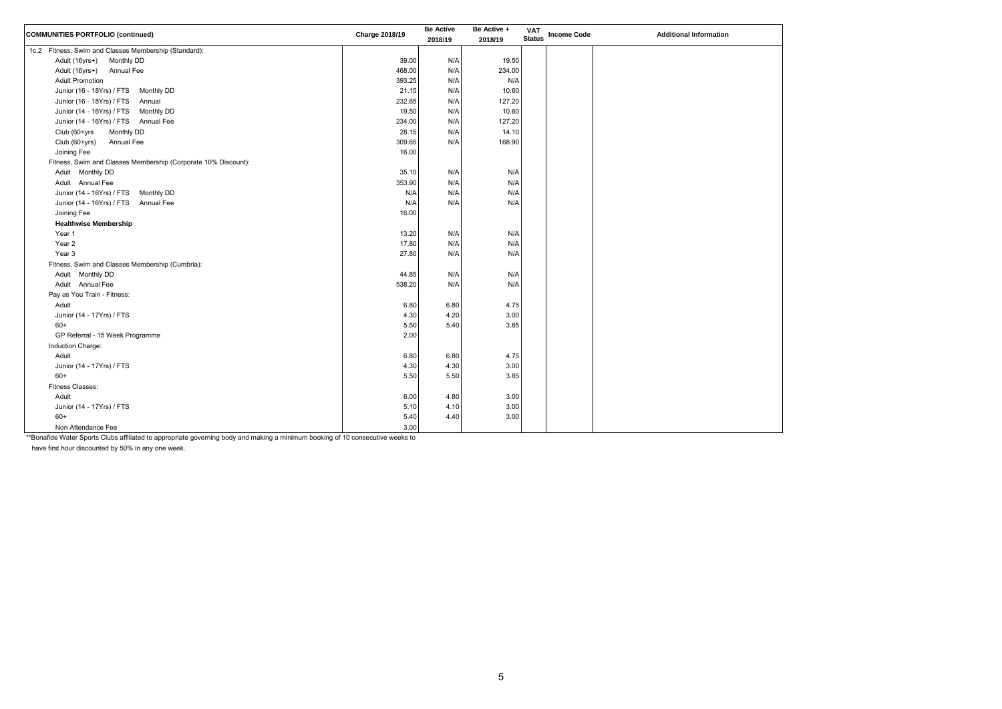| <b>COMMUNITIES PORTFOLIO (continued)</b>                       | <b>Charge 2018/19</b> | <b>Be Active</b><br>2018/19 | Be Active +<br>2018/19 | <b>VAT</b><br><b>Status</b> | <b>Income Code</b> | <b>Additional Information</b> |
|----------------------------------------------------------------|-----------------------|-----------------------------|------------------------|-----------------------------|--------------------|-------------------------------|
| 1c.2 Fitness, Swim and Classes Membership (Standard):          |                       |                             |                        |                             |                    |                               |
| Adult (16yrs+)<br>Monthly DD                                   | 39.00                 | N/A                         | 19.50                  |                             |                    |                               |
| Adult (16yrs+)<br><b>Annual Fee</b>                            | 468.00                | N/A                         | 234.00                 |                             |                    |                               |
| <b>Adult Promotion</b>                                         | 393.25                | N/A                         | N/A                    |                             |                    |                               |
| Junior (16 - 18Yrs) / FTS Monthly DD                           | 21.15                 | N/A                         | 10.60                  |                             |                    |                               |
| Junior (16 - 18Yrs) / FTS<br>Annual                            | 232.65                | N/A                         | 127.20                 |                             |                    |                               |
| Junior (14 - 16Yrs) / FTS<br><b>Monthly DD</b>                 | 19.50                 | N/A                         | 10.60                  |                             |                    |                               |
| Junior (14 - 16Yrs) / FTS Annual Fee                           | 234.00                | N/A                         | 127.20                 |                             |                    |                               |
| Monthly DD<br>Club (60+yrs                                     | 28.15                 | N/A                         | 14.10                  |                             |                    |                               |
| Annual Fee<br>Club (60+yrs)                                    | 309.65                | N/A                         | 168.90                 |                             |                    |                               |
| Joining Fee                                                    | 16.00                 |                             |                        |                             |                    |                               |
| Fitness, Swim and Classes Membership (Corporate 10% Discount): |                       |                             |                        |                             |                    |                               |
| Adult Monthly DD                                               | 35.10                 | N/A                         | N/A                    |                             |                    |                               |
| Adult Annual Fee                                               | 353.90                | N/A                         | N/A                    |                             |                    |                               |
| Junior (14 - 16Yrs) / FTS<br><b>Monthly DD</b>                 | N/A                   | N/A                         | N/A                    |                             |                    |                               |
| Junior (14 - 16Yrs) / FTS<br>Annual Fee                        | N/A                   | N/A                         | N/A                    |                             |                    |                               |
| Joining Fee                                                    | 16.00                 |                             |                        |                             |                    |                               |
| <b>Healthwise Membership</b>                                   |                       |                             |                        |                             |                    |                               |
| Year 1                                                         | 13.20                 | N/A                         | N/A                    |                             |                    |                               |
| Year 2                                                         | 17.80                 | N/A                         | N/A                    |                             |                    |                               |
| Year 3                                                         | 27.80                 | N/A                         | N/A                    |                             |                    |                               |
| Fitness, Swim and Classes Membership (Cumbria):                |                       |                             |                        |                             |                    |                               |
| Adult Monthly DD                                               | 44.85                 | N/A                         | N/A                    |                             |                    |                               |
| Adult Annual Fee                                               | 538.20                | N/A                         | N/A                    |                             |                    |                               |
| Pay as You Train - Fitness:                                    |                       |                             |                        |                             |                    |                               |
| Adult                                                          | 6.80                  | 6.80                        | 4.75                   |                             |                    |                               |
| Junior (14 - 17Yrs) / FTS                                      | 4.30                  | 4.20                        | 3.00                   |                             |                    |                               |
| $60+$                                                          | 5.50                  | 5.40                        | 3.85                   |                             |                    |                               |
| GP Referral - 15 Week Programme                                | 2.00                  |                             |                        |                             |                    |                               |
| Induction Charge:                                              |                       |                             |                        |                             |                    |                               |
| Adult                                                          | 6.80                  | 6.80                        | 4.75                   |                             |                    |                               |
| Junior (14 - 17Yrs) / FTS                                      | 4.30                  | 4.30                        | 3.00                   |                             |                    |                               |
| $60+$                                                          | 5.50                  | 5.50                        | 3.85                   |                             |                    |                               |
| <b>Fitness Classes:</b>                                        |                       |                             |                        |                             |                    |                               |
| Adult                                                          | 6.00                  | 4.80                        | 3.00                   |                             |                    |                               |
| Junior (14 - 17Yrs) / FTS                                      | 5.10                  | 4.10                        | 3.00                   |                             |                    |                               |
| $60+$                                                          | 5.40                  | 4.40                        | 3.00                   |                             |                    |                               |
| Non Attendance Fee                                             | 3.00                  |                             |                        |                             |                    |                               |

\*\*Bonafide Water Sports Clubs affiliated to appropriate governing body and making a minimum booking of 10 consecutive weeks to

have first hour discounted by 50% in any one week.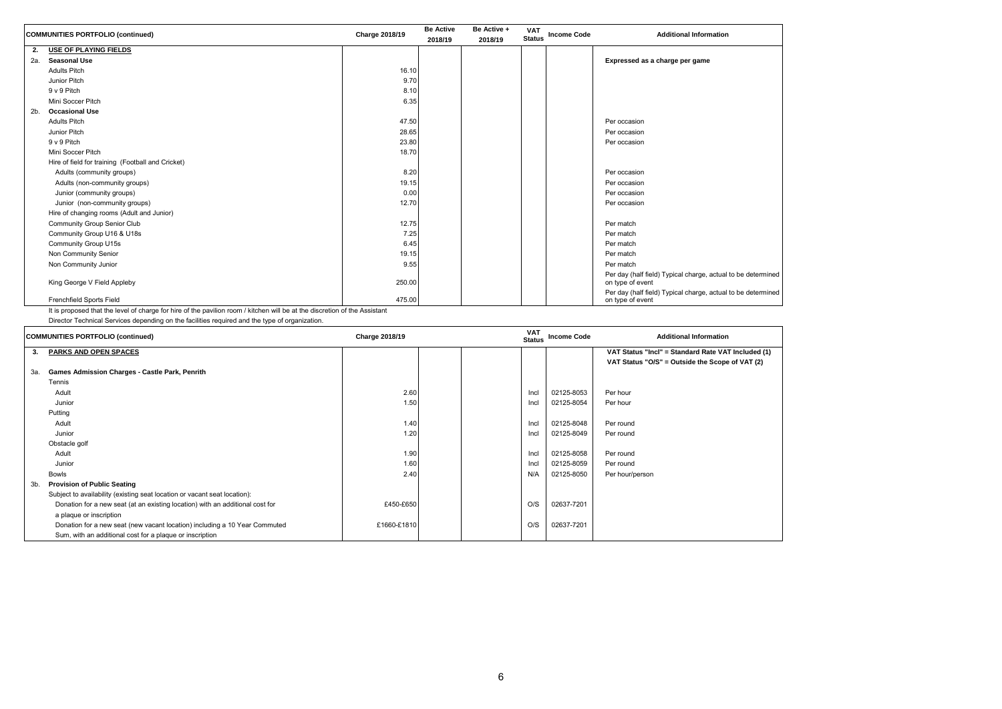letermined

letermined

|     | <b>COMMUNITIES PORTFOLIO (continued)</b>          | Charge 2018/19 | <b>Be Active</b><br>2018/19 | Be Active +<br>2018/19 | <b>VAT</b><br><b>Status</b> | <b>Income Code</b> | <b>Additional Information</b>                                            |
|-----|---------------------------------------------------|----------------|-----------------------------|------------------------|-----------------------------|--------------------|--------------------------------------------------------------------------|
| 2.  | USE OF PLAYING FIELDS                             |                |                             |                        |                             |                    |                                                                          |
| 2a. | <b>Seasonal Use</b>                               |                |                             |                        |                             |                    | Expressed as a charge per game                                           |
|     | <b>Adults Pitch</b>                               | 16.10          |                             |                        |                             |                    |                                                                          |
|     | <b>Junior Pitch</b>                               | 9.70           |                             |                        |                             |                    |                                                                          |
|     | 9 v 9 Pitch                                       | 8.10           |                             |                        |                             |                    |                                                                          |
|     | Mini Soccer Pitch                                 | 6.35           |                             |                        |                             |                    |                                                                          |
| 2b. | <b>Occasional Use</b>                             |                |                             |                        |                             |                    |                                                                          |
|     | <b>Adults Pitch</b>                               | 47.50          |                             |                        |                             |                    | Per occasion                                                             |
|     | <b>Junior Pitch</b>                               | 28.65          |                             |                        |                             |                    | Per occasion                                                             |
|     | 9 v 9 Pitch                                       | 23.80          |                             |                        |                             |                    | Per occasion                                                             |
|     | Mini Soccer Pitch                                 | 18.70          |                             |                        |                             |                    |                                                                          |
|     | Hire of field for training (Football and Cricket) |                |                             |                        |                             |                    |                                                                          |
|     | Adults (community groups)                         | 8.20           |                             |                        |                             |                    | Per occasion                                                             |
|     | Adults (non-community groups)                     | 19.15          |                             |                        |                             |                    | Per occasion                                                             |
|     | Junior (community groups)                         | 0.00           |                             |                        |                             |                    | Per occasion                                                             |
|     | Junior (non-community groups)                     | 12.70          |                             |                        |                             |                    | Per occasion                                                             |
|     | Hire of changing rooms (Adult and Junior)         |                |                             |                        |                             |                    |                                                                          |
|     | <b>Community Group Senior Club</b>                | 12.75          |                             |                        |                             |                    | Per match                                                                |
|     | Community Group U16 & U18s                        | 7.25           |                             |                        |                             |                    | Per match                                                                |
|     | <b>Community Group U15s</b>                       | 6.45           |                             |                        |                             |                    | Per match                                                                |
|     | Non Community Senior                              | 19.15          |                             |                        |                             |                    | Per match                                                                |
|     | Non Community Junior                              | 9.55           |                             |                        |                             |                    | Per match                                                                |
|     | King George V Field Appleby                       | 250.00         |                             |                        |                             |                    | Per day (half field) Typical charge, actual to be do<br>on type of event |
|     | Frenchfield Sports Field                          | 475.00         |                             |                        |                             |                    | Per day (half field) Typical charge, actual to be do<br>on type of event |

It is proposed that the level of charge for hire of the pavilion room / kitchen will be at the discretion of the Assistant

Director Technical Services depending on the facilities required and the type of organization.

| <b>COMMUNITIES PORTFOLIO (continued)</b> |                                                                               | <b>Charge 2018/19</b> |  | <b>VAT</b><br><b>Status</b> | <b>Income Code</b> | <b>Additional Information</b> |                                                    |
|------------------------------------------|-------------------------------------------------------------------------------|-----------------------|--|-----------------------------|--------------------|-------------------------------|----------------------------------------------------|
| 3.                                       | <b>PARKS AND OPEN SPACES</b>                                                  |                       |  |                             |                    |                               | VAT Status "Incl" = Standard Rate VAT Included (1) |
|                                          |                                                                               |                       |  |                             |                    |                               | VAT Status "O/S" = Outside the Scope of VAT (2)    |
| 3а.                                      | Games Admission Charges - Castle Park, Penrith                                |                       |  |                             |                    |                               |                                                    |
|                                          | Tennis                                                                        |                       |  |                             |                    |                               |                                                    |
|                                          | Adult                                                                         | 2.60                  |  |                             | Incl               | 02125-8053                    | Per hour                                           |
|                                          | Junior                                                                        | 1.50                  |  |                             | Incl               | 02125-8054                    | Per hour                                           |
|                                          | Putting                                                                       |                       |  |                             |                    |                               |                                                    |
|                                          | Adult                                                                         | 1.40                  |  |                             | Incl               | 02125-8048                    | Per round                                          |
|                                          | Junior                                                                        | 1.20                  |  |                             | Incl               | 02125-8049                    | Per round                                          |
|                                          | Obstacle golf                                                                 |                       |  |                             |                    |                               |                                                    |
|                                          | Adult                                                                         | 1.90                  |  |                             | Incl               | 02125-8058                    | Per round                                          |
|                                          | Junior                                                                        | 1.60                  |  |                             | Incl               | 02125-8059                    | Per round                                          |
|                                          | <b>Bowls</b>                                                                  | 2.40                  |  |                             | N/A                | 02125-8050                    | Per hour/person                                    |
| 3b.                                      | <b>Provision of Public Seating</b>                                            |                       |  |                             |                    |                               |                                                    |
|                                          | Subject to availability (existing seat location or vacant seat location):     |                       |  |                             |                    |                               |                                                    |
|                                          | Donation for a new seat (at an existing location) with an additional cost for | £450-£650             |  |                             | O/S                | 02637-7201                    |                                                    |
|                                          | a plaque or inscription                                                       |                       |  |                             |                    |                               |                                                    |
|                                          | Donation for a new seat (new vacant location) including a 10 Year Commuted    | £1660-£1810           |  |                             | O/S                | 02637-7201                    |                                                    |
|                                          | Sum, with an additional cost for a plaque or inscription                      |                       |  |                             |                    |                               |                                                    |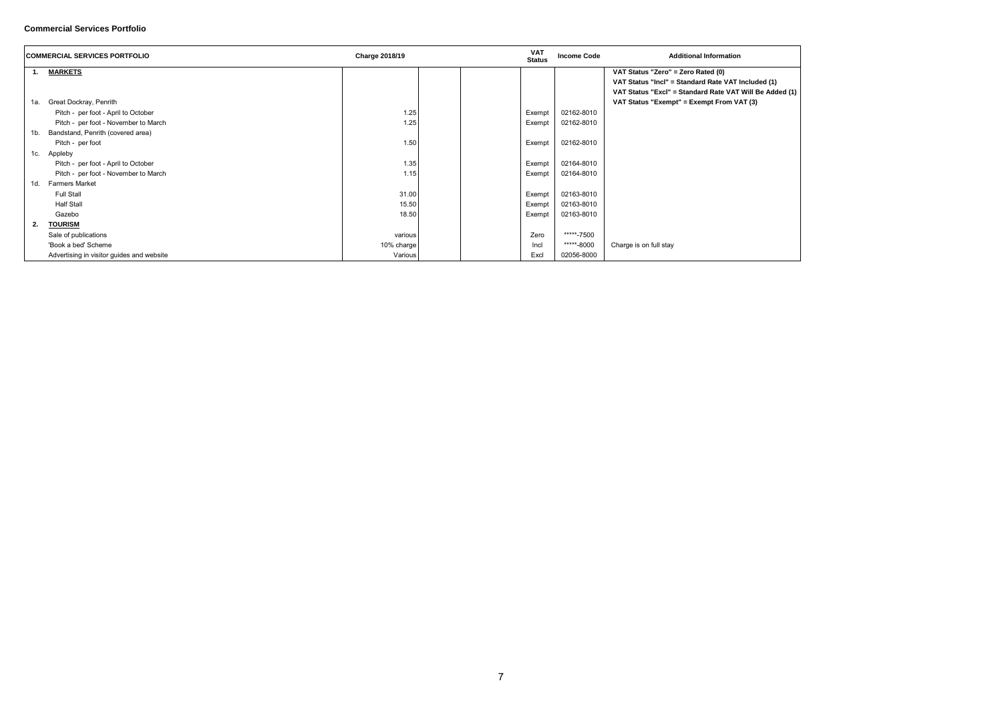(1) uded I Be Added (1)

## **Commercial Services Portfolio**

| <b>COMMERCIAL SERVICES PORTFOLIO</b> |                                           | <b>Charge 2018/19</b> | <b>VAT</b><br><b>Status</b> | <b>Income Code</b> | <b>Additional Information</b>                |
|--------------------------------------|-------------------------------------------|-----------------------|-----------------------------|--------------------|----------------------------------------------|
| 1.                                   | <b>MARKETS</b>                            |                       |                             |                    | VAT Status "Zero" = Zero Rated (0)           |
|                                      |                                           |                       |                             |                    | VAT Status "Incl" = Standard Rate VAT Includ |
|                                      |                                           |                       |                             |                    | VAT Status "Excl" = Standard Rate VAT Will I |
| 1a.                                  | Great Dockray, Penrith                    |                       |                             |                    | VAT Status "Exempt" = Exempt From VAT (3)    |
|                                      | Pitch - per foot - April to October       | 1.25                  | Exempt                      | 02162-8010         |                                              |
|                                      | Pitch - per foot - November to March      | 1.25                  | Exempt                      | 02162-8010         |                                              |
| 1b.                                  | Bandstand, Penrith (covered area)         |                       |                             |                    |                                              |
|                                      | Pitch - per foot                          | 1.50                  | Exempt                      | 02162-8010         |                                              |
| 1c.                                  | Appleby                                   |                       |                             |                    |                                              |
|                                      | Pitch - per foot - April to October       | 1.35                  | Exempt                      | 02164-8010         |                                              |
|                                      | Pitch - per foot - November to March      | 1.15                  | Exempt                      | 02164-8010         |                                              |
| 1d.                                  | <b>Farmers Market</b>                     |                       |                             |                    |                                              |
|                                      | <b>Full Stall</b>                         | 31.00                 | Exempt                      | 02163-8010         |                                              |
|                                      | Half Stall                                | 15.50                 | Exempt                      | 02163-8010         |                                              |
|                                      | Gazebo                                    | 18.50                 | Exempt                      | 02163-8010         |                                              |
| 2.                                   | <b>TOURISM</b>                            |                       |                             |                    |                                              |
|                                      | Sale of publications                      | various               | Zero                        | *****-7500         |                                              |
|                                      | 'Book a bed' Scheme                       | 10% charge            | Incl                        | *****-8000         | Charge is on full stay                       |
|                                      | Advertising in visitor guides and website | Various               | Excl                        | 02056-8000         |                                              |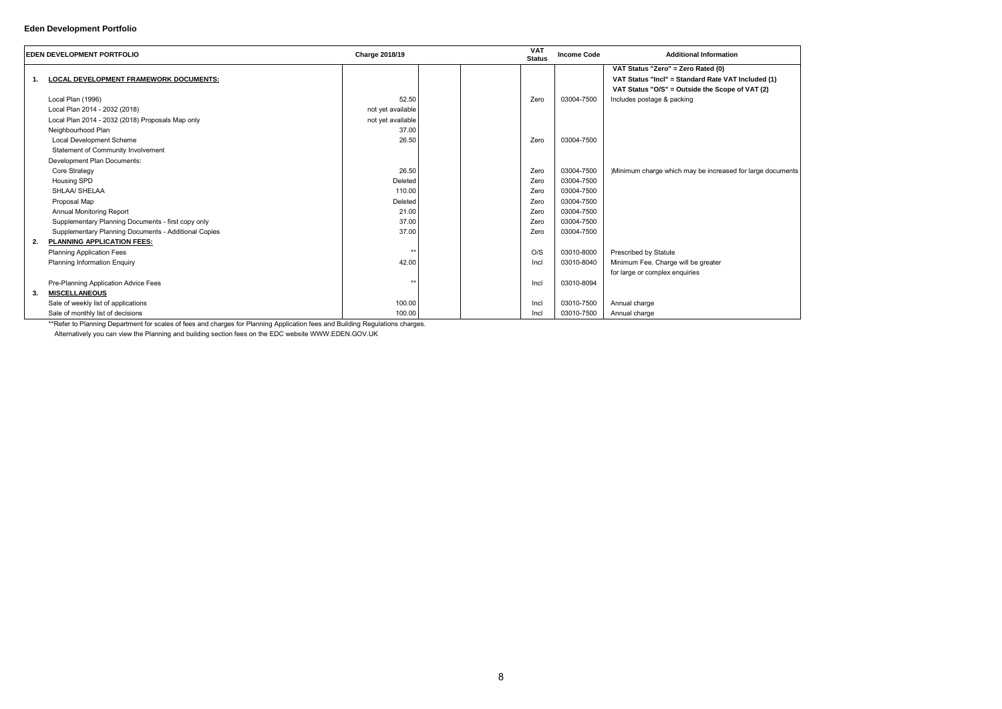## **Eden Development Portfolio**

|    | <b>EDEN DEVELOPMENT PORTFOLIO</b>                    | <b>Charge 2018/19</b> | <b>VAT</b><br><b>Status</b> | <b>Income Code</b> | <b>Additional Information</b>                                                            |
|----|------------------------------------------------------|-----------------------|-----------------------------|--------------------|------------------------------------------------------------------------------------------|
| 1. | <b>LOCAL DEVELOPMENT FRAMEWORK DOCUMENTS:</b>        |                       |                             |                    | VAT Status "Zero" = Zero Rated (0)<br>VAT Status "Incl" = Standard Rate VAT Included (1) |
|    | Local Plan (1996)                                    | 52.50                 | Zero                        | 03004-7500         | VAT Status "O/S" = Outside the Scope of VAT (2)<br>Includes postage & packing            |
|    | Local Plan 2014 - 2032 (2018)                        | not yet available     |                             |                    |                                                                                          |
|    | Local Plan 2014 - 2032 (2018) Proposals Map only     | not yet available     |                             |                    |                                                                                          |
|    | Neighbourhood Plan                                   | 37.00                 |                             |                    |                                                                                          |
|    | Local Development Scheme                             | 26.50                 | Zero                        | 03004-7500         |                                                                                          |
|    | Statement of Community Involvement                   |                       |                             |                    |                                                                                          |
|    | Development Plan Documents:                          |                       |                             |                    |                                                                                          |
|    | Core Strategy                                        | 26.50                 | Zero                        | 03004-7500         | )Minimum charge which may be increased for large documents                               |
|    | <b>Housing SPD</b>                                   | Deleted               | Zero                        | 03004-7500         |                                                                                          |
|    | SHLAA/ SHELAA                                        | 110.00                | Zero                        | 03004-7500         |                                                                                          |
|    | Proposal Map                                         | Deleted               | Zero                        | 03004-7500         |                                                                                          |
|    |                                                      |                       | Zero                        | 03004-7500         |                                                                                          |
|    | <b>Annual Monitoring Report</b>                      | 21.00                 |                             |                    |                                                                                          |
|    | Supplementary Planning Documents - first copy only   | 37.00                 | Zero                        | 03004-7500         |                                                                                          |
|    | Supplementary Planning Documents - Additional Copies | 37.00                 | Zero                        | 03004-7500         |                                                                                          |
| 2. | PLANNING APPLICATION FEES:                           | $*$                   |                             |                    |                                                                                          |
|    | <b>Planning Application Fees</b>                     |                       | O/S                         | 03010-8000         | <b>Prescribed by Statute</b>                                                             |
|    | <b>Planning Information Enquiry</b>                  | 42.00                 | Incl                        | 03010-8040         | Minimum Fee. Charge will be greater                                                      |
|    |                                                      |                       |                             |                    | for large or complex enquiries                                                           |
|    | Pre-Planning Application Advice Fees                 | $**$                  | Incl                        | 03010-8094         |                                                                                          |
| 3. | <b>MISCELLANEOUS</b>                                 |                       |                             |                    |                                                                                          |
|    | Sale of weekly list of applications                  | 100.00                | Incl                        | 03010-7500         | Annual charge                                                                            |
|    | Sale of monthly list of decisions                    | 100.00                | Incl                        | 03010-7500         | Annual charge                                                                            |

\*\*Refer to Planning Department for scales of fees and charges for Planning Application fees and Building Regulations charges.

Alternatively you can view the Planning and building section fees on the EDC website WWW.EDEN.GOV.UK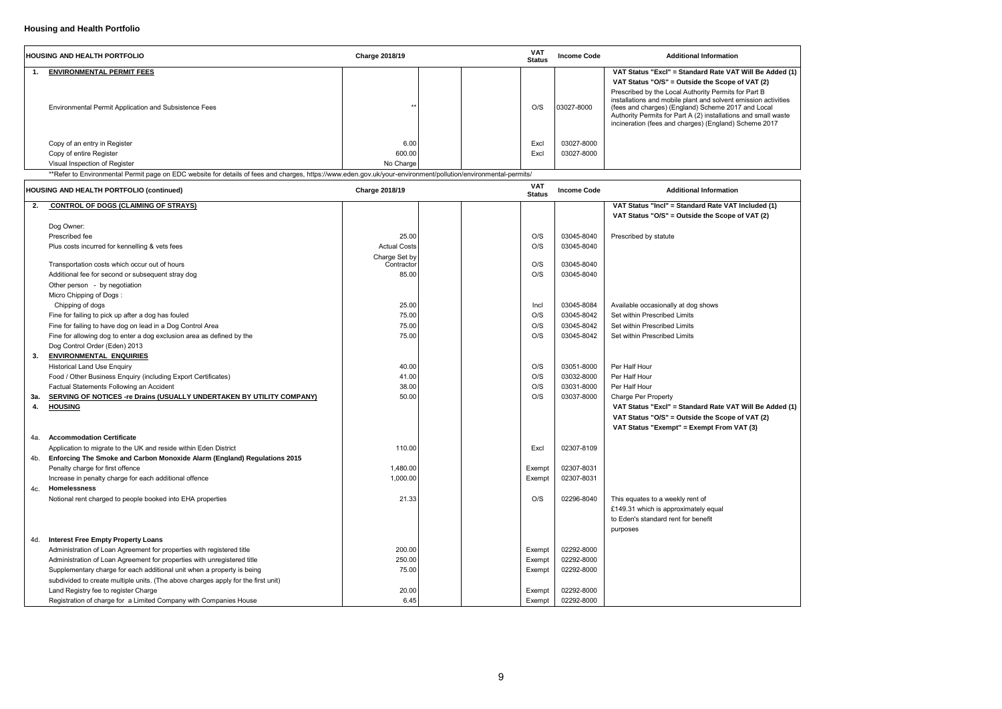| Be Added (1)                                                   |  |
|----------------------------------------------------------------|--|
| r (2)<br>t B<br>on activities<br>Local<br>mall waste<br>e 2017 |  |
|                                                                |  |
| del(1)<br>$\sqrt{(2)}$                                         |  |
| Be Added (1)<br>$\lceil (2)$                                   |  |

# **Housing and Health Portfolio**

|     | <b>HOUSING AND HEALTH PORTFOLIO</b>                                                                                                                            | <b>Charge 2018/19</b> | <b>VAT</b><br><b>Status</b> | <b>Income Code</b>       | <b>Additional Information</b>                                                                                                                                                                                                                                                                           |
|-----|----------------------------------------------------------------------------------------------------------------------------------------------------------------|-----------------------|-----------------------------|--------------------------|---------------------------------------------------------------------------------------------------------------------------------------------------------------------------------------------------------------------------------------------------------------------------------------------------------|
| 1.  | <b>ENVIRONMENTAL PERMIT FEES</b>                                                                                                                               |                       |                             |                          | VAT Status "Excl" = Standard Rate VAT Will Be Added (1)                                                                                                                                                                                                                                                 |
|     |                                                                                                                                                                |                       |                             |                          | VAT Status "O/S" = Outside the Scope of VAT (2)                                                                                                                                                                                                                                                         |
|     | <b>Environmental Permit Application and Subsistence Fees</b>                                                                                                   | $\star$               | O/S                         | 03027-8000               | Prescribed by the Local Authority Permits for Part B<br>installations and mobile plant and solvent emission activities<br>(fees and charges) (England) Scheme 2017 and Local<br>Authority Permits for Part A (2) installations and small waste<br>incineration (fees and charges) (England) Scheme 2017 |
|     |                                                                                                                                                                | 6.00                  |                             | 03027-8000               |                                                                                                                                                                                                                                                                                                         |
|     | Copy of an entry in Register<br>Copy of entire Register                                                                                                        | 600.00                | Excl<br>Excl                | 03027-8000               |                                                                                                                                                                                                                                                                                                         |
|     | Visual Inspection of Register                                                                                                                                  | No Charge             |                             |                          |                                                                                                                                                                                                                                                                                                         |
|     | **Refer to Environmental Permit page on EDC website for details of fees and charges, https://www.eden.gov.uk/your-environment/pollution/environmental-permits/ |                       |                             |                          |                                                                                                                                                                                                                                                                                                         |
|     | <b>HOUSING AND HEALTH PORTFOLIO (continued)</b>                                                                                                                | <b>Charge 2018/19</b> | <b>VAT</b><br><b>Status</b> | <b>Income Code</b>       | <b>Additional Information</b>                                                                                                                                                                                                                                                                           |
| 2.  | <b>CONTROL OF DOGS (CLAIMING OF STRAYS)</b>                                                                                                                    |                       |                             |                          | VAT Status "Incl" = Standard Rate VAT Included (1)                                                                                                                                                                                                                                                      |
|     |                                                                                                                                                                |                       |                             |                          | VAT Status "O/S" = Outside the Scope of VAT (2)                                                                                                                                                                                                                                                         |
|     | Dog Owner:                                                                                                                                                     |                       |                             |                          |                                                                                                                                                                                                                                                                                                         |
|     | Prescribed fee                                                                                                                                                 | 25.00                 | O/S                         | 03045-8040               | Prescribed by statute                                                                                                                                                                                                                                                                                   |
|     | Plus costs incurred for kennelling & vets fees                                                                                                                 | <b>Actual Costs</b>   | O/S                         | 03045-8040               |                                                                                                                                                                                                                                                                                                         |
|     |                                                                                                                                                                | Charge Set by         |                             |                          |                                                                                                                                                                                                                                                                                                         |
|     | Transportation costs which occur out of hours                                                                                                                  | Contractor            | O/S                         | 03045-8040               |                                                                                                                                                                                                                                                                                                         |
|     | Additional fee for second or subsequent stray dog                                                                                                              | 85.00                 | O/S                         | 03045-8040               |                                                                                                                                                                                                                                                                                                         |
|     | Other person - by negotiation                                                                                                                                  |                       |                             |                          |                                                                                                                                                                                                                                                                                                         |
|     | Micro Chipping of Dogs:                                                                                                                                        |                       |                             |                          |                                                                                                                                                                                                                                                                                                         |
|     | Chipping of dogs                                                                                                                                               | 25.00                 | Incl                        | 03045-8084               | Available occasionally at dog shows                                                                                                                                                                                                                                                                     |
|     | Fine for failing to pick up after a dog has fouled                                                                                                             | 75.00                 | O/S<br>O/S                  | 03045-8042<br>03045-8042 | Set within Prescribed Limits<br>Set within Prescribed Limits                                                                                                                                                                                                                                            |
|     | Fine for failing to have dog on lead in a Dog Control Area<br>Fine for allowing dog to enter a dog exclusion area as defined by the                            | 75.00<br>75.00        | O/S                         | 03045-8042               | Set within Prescribed Limits                                                                                                                                                                                                                                                                            |
|     | Dog Control Order (Eden) 2013                                                                                                                                  |                       |                             |                          |                                                                                                                                                                                                                                                                                                         |
| 3.  | <b>ENVIRONMENTAL ENQUIRIES</b>                                                                                                                                 |                       |                             |                          |                                                                                                                                                                                                                                                                                                         |
|     | <b>Historical Land Use Enquiry</b>                                                                                                                             | 40.00                 | O/S                         | 03051-8000               | Per Half Hour                                                                                                                                                                                                                                                                                           |
|     | Food / Other Business Enquiry (including Export Certificates)                                                                                                  | 41.00                 | O/S                         | 03032-8000               | Per Half Hour                                                                                                                                                                                                                                                                                           |
|     | Factual Statements Following an Accident                                                                                                                       | 38.00                 | O/S                         | 03031-8000               | Per Half Hour                                                                                                                                                                                                                                                                                           |
| 3а. | <b>SERVING OF NOTICES -re Drains (USUALLY UNDERTAKEN BY UTILITY COMPANY)</b>                                                                                   | 50.00                 | O/S                         | 03037-8000               | Charge Per Property                                                                                                                                                                                                                                                                                     |
| 4.  | <b>HOUSING</b>                                                                                                                                                 |                       |                             |                          | VAT Status "Excl" = Standard Rate VAT Will Be Added (1)                                                                                                                                                                                                                                                 |
|     |                                                                                                                                                                |                       |                             |                          | VAT Status "O/S" = Outside the Scope of VAT (2)                                                                                                                                                                                                                                                         |
|     |                                                                                                                                                                |                       |                             |                          | VAT Status "Exempt" = Exempt From VAT (3)                                                                                                                                                                                                                                                               |
| 4a. | <b>Accommodation Certificate</b>                                                                                                                               |                       |                             |                          |                                                                                                                                                                                                                                                                                                         |
|     | Application to migrate to the UK and reside within Eden District                                                                                               | 110.00                | Excl                        | 02307-8109               |                                                                                                                                                                                                                                                                                                         |
| 4b. | Enforcing The Smoke and Carbon Monoxide Alarm (England) Regulations 2015                                                                                       |                       |                             |                          |                                                                                                                                                                                                                                                                                                         |
|     | Penalty charge for first offence                                                                                                                               | 1,480.00              | Exempt                      | 02307-8031               |                                                                                                                                                                                                                                                                                                         |
|     | Increase in penalty charge for each additional offence                                                                                                         | 1,000.00              | Exempt                      | 02307-8031               |                                                                                                                                                                                                                                                                                                         |
| 4c. | <b>Homelessness</b>                                                                                                                                            |                       |                             |                          |                                                                                                                                                                                                                                                                                                         |
|     | Notional rent charged to people booked into EHA properties                                                                                                     | 21.33                 | O/S                         | 02296-8040               | This equates to a weekly rent of                                                                                                                                                                                                                                                                        |
|     |                                                                                                                                                                |                       |                             |                          | £149.31 which is approximately equal                                                                                                                                                                                                                                                                    |
|     |                                                                                                                                                                |                       |                             |                          | to Eden's standard rent for benefit                                                                                                                                                                                                                                                                     |
|     |                                                                                                                                                                |                       |                             |                          | purposes                                                                                                                                                                                                                                                                                                |
| 4d. | <b>Interest Free Empty Property Loans</b>                                                                                                                      |                       |                             |                          |                                                                                                                                                                                                                                                                                                         |
|     | Administration of Loan Agreement for properties with registered title                                                                                          | 200.00                | Exempt                      | 02292-8000               |                                                                                                                                                                                                                                                                                                         |
|     | Administration of Loan Agreement for properties with unregistered title                                                                                        | 250.00                | Exempt                      | 02292-8000               |                                                                                                                                                                                                                                                                                                         |
|     | Supplementary charge for each additional unit when a property is being                                                                                         | 75.00                 | Exempt                      | 02292-8000               |                                                                                                                                                                                                                                                                                                         |
|     | subdivided to create multiple units. (The above charges apply for the first unit)                                                                              |                       |                             |                          |                                                                                                                                                                                                                                                                                                         |
|     | Land Registry fee to register Charge                                                                                                                           | 20.00                 | Exempt                      | 02292-8000               |                                                                                                                                                                                                                                                                                                         |
|     | Registration of charge for a Limited Company with Companies House                                                                                              | 6.45                  | Exempt                      | 02292-8000               |                                                                                                                                                                                                                                                                                                         |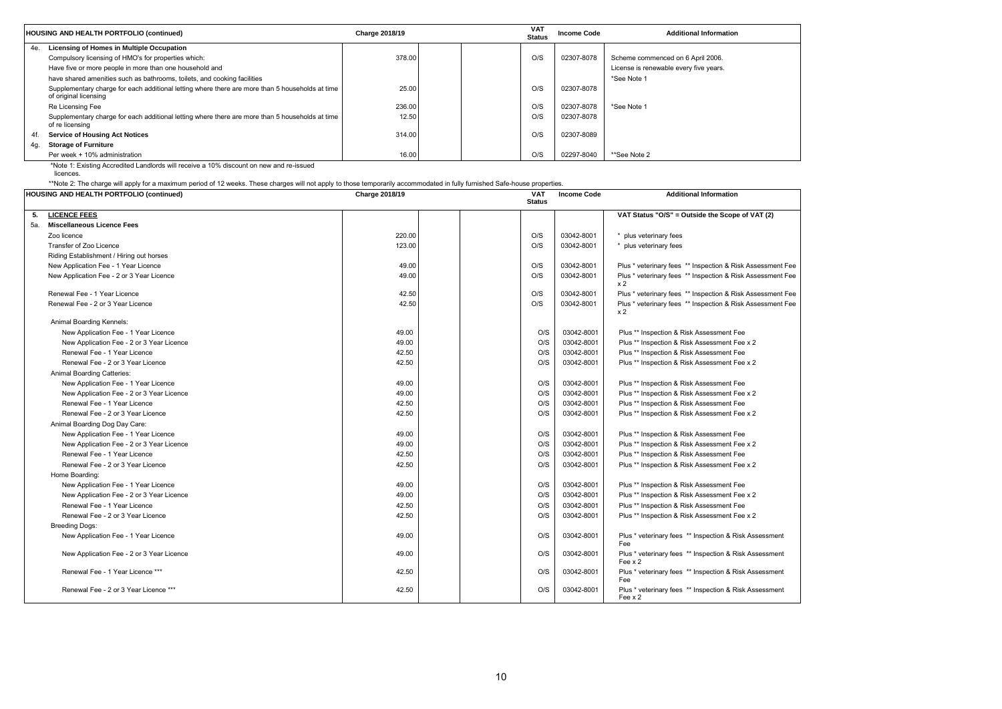|     | HOUSING AND HEALTH PORTFOLIO (continued)                                                                                 | <b>Charge 2018/19</b> | VAT<br><b>Status</b> | <b>Income Code</b> | <b>Additional Information</b>          |
|-----|--------------------------------------------------------------------------------------------------------------------------|-----------------------|----------------------|--------------------|----------------------------------------|
| 4e. | Licensing of Homes in Multiple Occupation                                                                                |                       |                      |                    |                                        |
|     | Compulsory licensing of HMO's for properties which:                                                                      | 378.00                | O/S                  | 02307-8078         | Scheme commenced on 6 April 2006.      |
|     | Have five or more people in more than one household and                                                                  |                       |                      |                    | License is renewable every five years. |
|     | have shared amenities such as bathrooms, toilets, and cooking facilities                                                 |                       |                      |                    | *See Note 1                            |
|     | Supplementary charge for each additional letting where there are more than 5 households at time<br>of original licensing | 25.00                 | O/S                  | 02307-8078         |                                        |
|     | Re Licensing Fee                                                                                                         | 236.00                | O/S                  | 02307-8078         | *See Note 1                            |
|     | Supplementary charge for each additional letting where there are more than 5 households at time<br>of re licensing       | 12.50                 | O/S                  | 02307-8078         |                                        |
| 4f. | <b>Service of Housing Act Notices</b>                                                                                    | 314.00                | O/S                  | 02307-8089         |                                        |
| 4q. | <b>Storage of Furniture</b>                                                                                              |                       |                      |                    |                                        |
|     | Per week + 10% administration                                                                                            | 16.00                 | O/S                  | 02297-8040         | **See Note 2                           |

\*Note 1: Existing Accredited Landlords will receive a 10% discount on new and re-issued

licences.

\*\*Note 2: The charge will apply for a maximum period of 12 weeks. These charges will not apply to those temporarily accommodated in fully furnished Safe-house properties.

|     | <b>HOUSING AND HEALTH PORTFOLIO (continued)</b> | <b>Charge 2018/19</b> | <b>VAT</b><br><b>Status</b> | <b>Income Code</b> | <b>Additional Information</b>                                                |
|-----|-------------------------------------------------|-----------------------|-----------------------------|--------------------|------------------------------------------------------------------------------|
| 5.  | <b>LICENCE FEES</b>                             |                       |                             |                    | VAT Status "O/S" = Outside the Scope of VAT (2)                              |
| 5а. | <b>Miscellaneous Licence Fees</b>               |                       |                             |                    |                                                                              |
|     | Zoo licence                                     | 220.00                | O/S                         | 03042-8001         | plus veterinary fees                                                         |
|     | Transfer of Zoo Licence                         | 123.00                | O/S                         | 03042-8001         | plus veterinary fees                                                         |
|     | Riding Establishment / Hiring out horses        |                       |                             |                    |                                                                              |
|     | New Application Fee - 1 Year Licence            | 49.00                 | O/S                         | 03042-8001         | Plus * veterinary fees ** Inspection & Risk Assessment Fee                   |
|     | New Application Fee - 2 or 3 Year Licence       | 49.00                 | O/S                         | 03042-8001         | Plus * veterinary fees ** Inspection & Risk Assessment Fee<br>x 2            |
|     | Renewal Fee - 1 Year Licence                    | 42.50                 | O/S                         | 03042-8001         | Plus * veterinary fees ** Inspection & Risk Assessment Fee                   |
|     | Renewal Fee - 2 or 3 Year Licence               | 42.50                 | O/S                         | 03042-8001         | Plus * veterinary fees ** Inspection & Risk Assessment Fee<br>x <sub>2</sub> |
|     | Animal Boarding Kennels:                        |                       |                             |                    |                                                                              |
|     | New Application Fee - 1 Year Licence            | 49.00                 | O/S                         | 03042-8001         | Plus ** Inspection & Risk Assessment Fee                                     |
|     | New Application Fee - 2 or 3 Year Licence       | 49.00                 | O/S                         | 03042-8001         | Plus ** Inspection & Risk Assessment Fee x 2                                 |
|     | Renewal Fee - 1 Year Licence                    | 42.50                 | O/S                         | 03042-8001         | Plus ** Inspection & Risk Assessment Fee                                     |
|     | Renewal Fee - 2 or 3 Year Licence               | 42.50                 | O/S                         | 03042-8001         | Plus ** Inspection & Risk Assessment Fee x 2                                 |
|     | <b>Animal Boarding Catteries:</b>               |                       |                             |                    |                                                                              |
|     | New Application Fee - 1 Year Licence            | 49.00                 | O/S                         | 03042-8001         | Plus ** Inspection & Risk Assessment Fee                                     |
|     | New Application Fee - 2 or 3 Year Licence       | 49.00                 | O/S                         | 03042-8001         | Plus ** Inspection & Risk Assessment Fee x 2                                 |
|     | Renewal Fee - 1 Year Licence                    | 42.50                 | O/S                         | 03042-8001         | Plus ** Inspection & Risk Assessment Fee                                     |
|     | Renewal Fee - 2 or 3 Year Licence               | 42.50                 | O/S                         | 03042-8001         | Plus ** Inspection & Risk Assessment Fee x 2                                 |
|     | Animal Boarding Dog Day Care:                   |                       |                             |                    |                                                                              |
|     | New Application Fee - 1 Year Licence            | 49.00                 | O/S                         | 03042-8001         | Plus ** Inspection & Risk Assessment Fee                                     |
|     | New Application Fee - 2 or 3 Year Licence       | 49.00                 | O/S                         | 03042-8001         | Plus ** Inspection & Risk Assessment Fee x 2                                 |
|     | Renewal Fee - 1 Year Licence                    | 42.50                 | O/S                         | 03042-8001         | Plus ** Inspection & Risk Assessment Fee                                     |
|     | Renewal Fee - 2 or 3 Year Licence               | 42.50                 | O/S                         | 03042-8001         | Plus ** Inspection & Risk Assessment Fee x 2                                 |
|     | Home Boarding:                                  |                       |                             |                    |                                                                              |
|     | New Application Fee - 1 Year Licence            | 49.00                 | O/S                         | 03042-8001         | Plus ** Inspection & Risk Assessment Fee                                     |
|     | New Application Fee - 2 or 3 Year Licence       | 49.00                 | O/S                         | 03042-8001         | Plus ** Inspection & Risk Assessment Fee x 2                                 |
|     | Renewal Fee - 1 Year Licence                    | 42.50                 | O/S                         | 03042-8001         | Plus ** Inspection & Risk Assessment Fee                                     |
|     | Renewal Fee - 2 or 3 Year Licence               | 42.50                 | O/S                         | 03042-8001         | Plus ** Inspection & Risk Assessment Fee x 2                                 |
|     | <b>Breeding Dogs:</b>                           |                       |                             |                    |                                                                              |
|     | New Application Fee - 1 Year Licence            | 49.00                 | O/S                         | 03042-8001         | Plus * veterinary fees ** Inspection & Risk Assessment<br>Fee                |
|     | New Application Fee - 2 or 3 Year Licence       | 49.00                 | O/S                         | 03042-8001         | Plus * veterinary fees ** Inspection & Risk Assessment<br>Fee $\times 2$     |
|     | Renewal Fee - 1 Year Licence ***                | 42.50                 | O/S                         | 03042-8001         | Plus * veterinary fees ** Inspection & Risk Assessment<br>Fee                |
|     | Renewal Fee - 2 or 3 Year Licence ***           | 42.50                 | O/S                         | 03042-8001         | Plus * veterinary fees ** Inspection & Risk Assessment<br>Fee x 2            |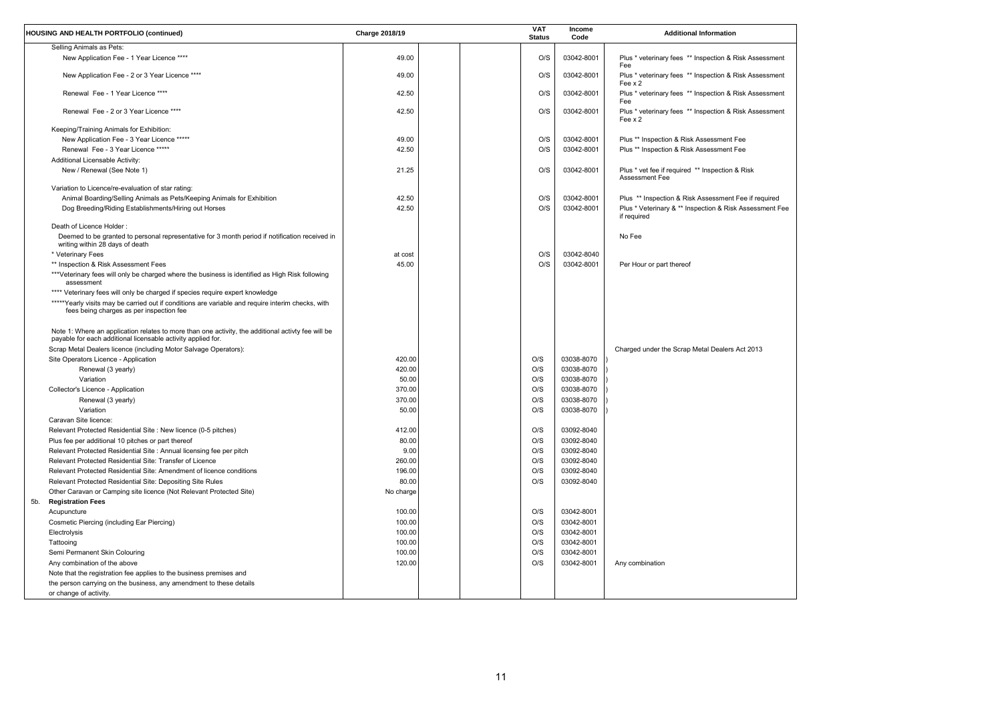| sessment  |  |
|-----------|--|
| sessment  |  |
| sessment  |  |
| sessment  |  |
|           |  |
|           |  |
|           |  |
|           |  |
| required  |  |
| sment Fee |  |
|           |  |
|           |  |
|           |  |
|           |  |
|           |  |
|           |  |
|           |  |
| 13        |  |
|           |  |
|           |  |
|           |  |
|           |  |
|           |  |
|           |  |
|           |  |
|           |  |
|           |  |
|           |  |
|           |  |
|           |  |
|           |  |

| Selling Animals as Pets:<br>O/S<br>49.00<br>New Application Fee - 1 Year Licence ****<br>03042-8001<br>Plus * veterinary fees ** Inspection & Risk Assessment<br>Fee<br>O/S<br>Plus * veterinary fees ** Inspection & Risk Assessment<br>New Application Fee - 2 or 3 Year Licence ****<br>49.00<br>03042-8001<br>Fee $\times 2$<br>O/S<br>Renewal Fee - 1 Year Licence ****<br>42.50<br>03042-8001<br>Plus * veterinary fees ** Inspection & Risk Assessment<br>Fee<br>42.50<br>O/S<br>Plus * veterinary fees ** Inspection & Risk Assessment<br>Renewal Fee - 2 or 3 Year Licence ****<br>03042-8001<br>Fee x 2<br>Keeping/Training Animals for Exhibition:<br>New Application Fee - 3 Year Licence *****<br>49.00<br>O/S<br>03042-8001<br>Plus ** Inspection & Risk Assessment Fee<br>O/S<br>Renewal Fee - 3 Year Licence *****<br>42.50<br>03042-8001<br>Plus ** Inspection & Risk Assessment Fee<br>Additional Licensable Activity:<br>New / Renewal (See Note 1)<br>21.25<br>O/S<br>Plus * vet fee if required ** Inspection & Risk<br>03042-8001<br>Assessment Fee<br>Variation to Licence/re-evaluation of star rating:<br>Animal Boarding/Selling Animals as Pets/Keeping Animals for Exhibition<br>42.50<br>O/S<br>Plus ** Inspection & Risk Assessment Fee if required<br>03042-8001<br>Dog Breeding/Riding Establishments/Hiring out Horses<br>42.50<br>O/S<br>03042-8001<br>Plus * Veterinary & ** Inspection & Risk Assessment Fee<br>if required<br>Death of Licence Holder:<br>Deemed to be granted to personal representative for 3 month period if notification received in<br>No Fee<br>writing within 28 days of death<br>O/S<br>03042-8040<br>* Veterinary Fees<br>at cost<br>O/S<br>45.00<br>** Inspection & Risk Assessment Fees<br>03042-8001<br>Per Hour or part thereof<br>***Veterinary fees will only be charged where the business is identified as High Risk following<br>assessment<br>**** Veterinary fees will only be charged if species require expert knowledge<br>*****Yearly visits may be carried out if conditions are variable and require interim checks, with<br>fees being charges as per inspection fee<br>Note 1: Where an application relates to more than one activity, the additional activty fee will be<br>payable for each additional licensable activity applied for.<br>Scrap Metal Dealers licence (including Motor Salvage Operators):<br>Charged under the Scrap Metal Dealers Act 2013<br>Site Operators Licence - Application<br>420.00<br>O/S<br>03038-8070<br>Renewal (3 yearly)<br>420.00<br>O/S<br>03038-8070<br>O/S<br>03038-8070<br>Variation<br>50.00<br>O/S<br>03038-8070<br>Collector's Licence - Application<br>370.00<br>370.00<br>O/S<br>03038-8070<br>Renewal (3 yearly)<br>O/S<br>03038-8070<br>Variation<br>50.00<br>Caravan Site licence:<br>Relevant Protected Residential Site : New licence (0-5 pitches)<br>O/S<br>03092-8040<br>412.00<br>O/S<br>03092-8040<br>Plus fee per additional 10 pitches or part thereof<br>80.00<br>Relevant Protected Residential Site : Annual licensing fee per pitch<br>9.00<br>O/S<br>03092-8040<br>Relevant Protected Residential Site: Transfer of Licence<br>O/S<br>03092-8040<br>260.00<br>Relevant Protected Residential Site: Amendment of licence conditions<br>O/S<br>03092-8040<br>196.00<br>Relevant Protected Residential Site: Depositing Site Rules<br>80.00<br>O/S<br>03092-8040<br>Other Caravan or Camping site licence (Not Relevant Protected Site)<br>No charge<br><b>Registration Fees</b><br>5b.<br>O/S<br>03042-8001<br>100.00<br>Acupuncture<br>O/S<br>03042-8001<br>Cosmetic Piercing (including Ear Piercing)<br>100.00<br>O/S<br>03042-8001<br>Electrolysis<br>100.00<br>O/S<br>03042-8001<br>Tattooing<br>100.00<br>Semi Permanent Skin Colouring<br>O/S<br>03042-8001<br>100.00<br>O/S<br>Any combination of the above<br>120.00<br>03042-8001<br>Any combination<br>Note that the registration fee applies to the business premises and<br>the person carrying on the business, any amendment to these details<br>or change of activity. | <b>HOUSING AND HEALTH PORTFOLIO (continued)</b> | Charge 2018/19 | <b>VAT</b><br><b>Status</b> | <b>Income</b><br>Code | <b>Additional Information</b> |
|--------------------------------------------------------------------------------------------------------------------------------------------------------------------------------------------------------------------------------------------------------------------------------------------------------------------------------------------------------------------------------------------------------------------------------------------------------------------------------------------------------------------------------------------------------------------------------------------------------------------------------------------------------------------------------------------------------------------------------------------------------------------------------------------------------------------------------------------------------------------------------------------------------------------------------------------------------------------------------------------------------------------------------------------------------------------------------------------------------------------------------------------------------------------------------------------------------------------------------------------------------------------------------------------------------------------------------------------------------------------------------------------------------------------------------------------------------------------------------------------------------------------------------------------------------------------------------------------------------------------------------------------------------------------------------------------------------------------------------------------------------------------------------------------------------------------------------------------------------------------------------------------------------------------------------------------------------------------------------------------------------------------------------------------------------------------------------------------------------------------------------------------------------------------------------------------------------------------------------------------------------------------------------------------------------------------------------------------------------------------------------------------------------------------------------------------------------------------------------------------------------------------------------------------------------------------------------------------------------------------------------------------------------------------------------------------------------------------------------------------------------------------------------------------------------------------------------------------------------------------------------------------------------------------------------------------------------------------------------------------------------------------------------------------------------------------------------------------------------------------------------------------------------------------------------------------------------------------------------------------------------------------------------------------------------------------------------------------------------------------------------------------------------------------------------------------------------------------------------------------------------------------------------------------------------------------------------------------------------------------------------------------------------------------------------------------------------------------------------------------------------------------------------------------------------------------------------------------------------------------------------------------------------------------------------------------------------------------------------------------------------------------------------------------------------------------------------------|-------------------------------------------------|----------------|-----------------------------|-----------------------|-------------------------------|
|                                                                                                                                                                                                                                                                                                                                                                                                                                                                                                                                                                                                                                                                                                                                                                                                                                                                                                                                                                                                                                                                                                                                                                                                                                                                                                                                                                                                                                                                                                                                                                                                                                                                                                                                                                                                                                                                                                                                                                                                                                                                                                                                                                                                                                                                                                                                                                                                                                                                                                                                                                                                                                                                                                                                                                                                                                                                                                                                                                                                                                                                                                                                                                                                                                                                                                                                                                                                                                                                                                                                                                                                                                                                                                                                                                                                                                                                                                                                                                                                                                                                                      |                                                 |                |                             |                       |                               |
|                                                                                                                                                                                                                                                                                                                                                                                                                                                                                                                                                                                                                                                                                                                                                                                                                                                                                                                                                                                                                                                                                                                                                                                                                                                                                                                                                                                                                                                                                                                                                                                                                                                                                                                                                                                                                                                                                                                                                                                                                                                                                                                                                                                                                                                                                                                                                                                                                                                                                                                                                                                                                                                                                                                                                                                                                                                                                                                                                                                                                                                                                                                                                                                                                                                                                                                                                                                                                                                                                                                                                                                                                                                                                                                                                                                                                                                                                                                                                                                                                                                                                      |                                                 |                |                             |                       |                               |
|                                                                                                                                                                                                                                                                                                                                                                                                                                                                                                                                                                                                                                                                                                                                                                                                                                                                                                                                                                                                                                                                                                                                                                                                                                                                                                                                                                                                                                                                                                                                                                                                                                                                                                                                                                                                                                                                                                                                                                                                                                                                                                                                                                                                                                                                                                                                                                                                                                                                                                                                                                                                                                                                                                                                                                                                                                                                                                                                                                                                                                                                                                                                                                                                                                                                                                                                                                                                                                                                                                                                                                                                                                                                                                                                                                                                                                                                                                                                                                                                                                                                                      |                                                 |                |                             |                       |                               |
|                                                                                                                                                                                                                                                                                                                                                                                                                                                                                                                                                                                                                                                                                                                                                                                                                                                                                                                                                                                                                                                                                                                                                                                                                                                                                                                                                                                                                                                                                                                                                                                                                                                                                                                                                                                                                                                                                                                                                                                                                                                                                                                                                                                                                                                                                                                                                                                                                                                                                                                                                                                                                                                                                                                                                                                                                                                                                                                                                                                                                                                                                                                                                                                                                                                                                                                                                                                                                                                                                                                                                                                                                                                                                                                                                                                                                                                                                                                                                                                                                                                                                      |                                                 |                |                             |                       |                               |
|                                                                                                                                                                                                                                                                                                                                                                                                                                                                                                                                                                                                                                                                                                                                                                                                                                                                                                                                                                                                                                                                                                                                                                                                                                                                                                                                                                                                                                                                                                                                                                                                                                                                                                                                                                                                                                                                                                                                                                                                                                                                                                                                                                                                                                                                                                                                                                                                                                                                                                                                                                                                                                                                                                                                                                                                                                                                                                                                                                                                                                                                                                                                                                                                                                                                                                                                                                                                                                                                                                                                                                                                                                                                                                                                                                                                                                                                                                                                                                                                                                                                                      |                                                 |                |                             |                       |                               |
|                                                                                                                                                                                                                                                                                                                                                                                                                                                                                                                                                                                                                                                                                                                                                                                                                                                                                                                                                                                                                                                                                                                                                                                                                                                                                                                                                                                                                                                                                                                                                                                                                                                                                                                                                                                                                                                                                                                                                                                                                                                                                                                                                                                                                                                                                                                                                                                                                                                                                                                                                                                                                                                                                                                                                                                                                                                                                                                                                                                                                                                                                                                                                                                                                                                                                                                                                                                                                                                                                                                                                                                                                                                                                                                                                                                                                                                                                                                                                                                                                                                                                      |                                                 |                |                             |                       |                               |
|                                                                                                                                                                                                                                                                                                                                                                                                                                                                                                                                                                                                                                                                                                                                                                                                                                                                                                                                                                                                                                                                                                                                                                                                                                                                                                                                                                                                                                                                                                                                                                                                                                                                                                                                                                                                                                                                                                                                                                                                                                                                                                                                                                                                                                                                                                                                                                                                                                                                                                                                                                                                                                                                                                                                                                                                                                                                                                                                                                                                                                                                                                                                                                                                                                                                                                                                                                                                                                                                                                                                                                                                                                                                                                                                                                                                                                                                                                                                                                                                                                                                                      |                                                 |                |                             |                       |                               |
|                                                                                                                                                                                                                                                                                                                                                                                                                                                                                                                                                                                                                                                                                                                                                                                                                                                                                                                                                                                                                                                                                                                                                                                                                                                                                                                                                                                                                                                                                                                                                                                                                                                                                                                                                                                                                                                                                                                                                                                                                                                                                                                                                                                                                                                                                                                                                                                                                                                                                                                                                                                                                                                                                                                                                                                                                                                                                                                                                                                                                                                                                                                                                                                                                                                                                                                                                                                                                                                                                                                                                                                                                                                                                                                                                                                                                                                                                                                                                                                                                                                                                      |                                                 |                |                             |                       |                               |
|                                                                                                                                                                                                                                                                                                                                                                                                                                                                                                                                                                                                                                                                                                                                                                                                                                                                                                                                                                                                                                                                                                                                                                                                                                                                                                                                                                                                                                                                                                                                                                                                                                                                                                                                                                                                                                                                                                                                                                                                                                                                                                                                                                                                                                                                                                                                                                                                                                                                                                                                                                                                                                                                                                                                                                                                                                                                                                                                                                                                                                                                                                                                                                                                                                                                                                                                                                                                                                                                                                                                                                                                                                                                                                                                                                                                                                                                                                                                                                                                                                                                                      |                                                 |                |                             |                       |                               |
|                                                                                                                                                                                                                                                                                                                                                                                                                                                                                                                                                                                                                                                                                                                                                                                                                                                                                                                                                                                                                                                                                                                                                                                                                                                                                                                                                                                                                                                                                                                                                                                                                                                                                                                                                                                                                                                                                                                                                                                                                                                                                                                                                                                                                                                                                                                                                                                                                                                                                                                                                                                                                                                                                                                                                                                                                                                                                                                                                                                                                                                                                                                                                                                                                                                                                                                                                                                                                                                                                                                                                                                                                                                                                                                                                                                                                                                                                                                                                                                                                                                                                      |                                                 |                |                             |                       |                               |
|                                                                                                                                                                                                                                                                                                                                                                                                                                                                                                                                                                                                                                                                                                                                                                                                                                                                                                                                                                                                                                                                                                                                                                                                                                                                                                                                                                                                                                                                                                                                                                                                                                                                                                                                                                                                                                                                                                                                                                                                                                                                                                                                                                                                                                                                                                                                                                                                                                                                                                                                                                                                                                                                                                                                                                                                                                                                                                                                                                                                                                                                                                                                                                                                                                                                                                                                                                                                                                                                                                                                                                                                                                                                                                                                                                                                                                                                                                                                                                                                                                                                                      |                                                 |                |                             |                       |                               |
|                                                                                                                                                                                                                                                                                                                                                                                                                                                                                                                                                                                                                                                                                                                                                                                                                                                                                                                                                                                                                                                                                                                                                                                                                                                                                                                                                                                                                                                                                                                                                                                                                                                                                                                                                                                                                                                                                                                                                                                                                                                                                                                                                                                                                                                                                                                                                                                                                                                                                                                                                                                                                                                                                                                                                                                                                                                                                                                                                                                                                                                                                                                                                                                                                                                                                                                                                                                                                                                                                                                                                                                                                                                                                                                                                                                                                                                                                                                                                                                                                                                                                      |                                                 |                |                             |                       |                               |
|                                                                                                                                                                                                                                                                                                                                                                                                                                                                                                                                                                                                                                                                                                                                                                                                                                                                                                                                                                                                                                                                                                                                                                                                                                                                                                                                                                                                                                                                                                                                                                                                                                                                                                                                                                                                                                                                                                                                                                                                                                                                                                                                                                                                                                                                                                                                                                                                                                                                                                                                                                                                                                                                                                                                                                                                                                                                                                                                                                                                                                                                                                                                                                                                                                                                                                                                                                                                                                                                                                                                                                                                                                                                                                                                                                                                                                                                                                                                                                                                                                                                                      |                                                 |                |                             |                       |                               |
|                                                                                                                                                                                                                                                                                                                                                                                                                                                                                                                                                                                                                                                                                                                                                                                                                                                                                                                                                                                                                                                                                                                                                                                                                                                                                                                                                                                                                                                                                                                                                                                                                                                                                                                                                                                                                                                                                                                                                                                                                                                                                                                                                                                                                                                                                                                                                                                                                                                                                                                                                                                                                                                                                                                                                                                                                                                                                                                                                                                                                                                                                                                                                                                                                                                                                                                                                                                                                                                                                                                                                                                                                                                                                                                                                                                                                                                                                                                                                                                                                                                                                      |                                                 |                |                             |                       |                               |
|                                                                                                                                                                                                                                                                                                                                                                                                                                                                                                                                                                                                                                                                                                                                                                                                                                                                                                                                                                                                                                                                                                                                                                                                                                                                                                                                                                                                                                                                                                                                                                                                                                                                                                                                                                                                                                                                                                                                                                                                                                                                                                                                                                                                                                                                                                                                                                                                                                                                                                                                                                                                                                                                                                                                                                                                                                                                                                                                                                                                                                                                                                                                                                                                                                                                                                                                                                                                                                                                                                                                                                                                                                                                                                                                                                                                                                                                                                                                                                                                                                                                                      |                                                 |                |                             |                       |                               |
|                                                                                                                                                                                                                                                                                                                                                                                                                                                                                                                                                                                                                                                                                                                                                                                                                                                                                                                                                                                                                                                                                                                                                                                                                                                                                                                                                                                                                                                                                                                                                                                                                                                                                                                                                                                                                                                                                                                                                                                                                                                                                                                                                                                                                                                                                                                                                                                                                                                                                                                                                                                                                                                                                                                                                                                                                                                                                                                                                                                                                                                                                                                                                                                                                                                                                                                                                                                                                                                                                                                                                                                                                                                                                                                                                                                                                                                                                                                                                                                                                                                                                      |                                                 |                |                             |                       |                               |
|                                                                                                                                                                                                                                                                                                                                                                                                                                                                                                                                                                                                                                                                                                                                                                                                                                                                                                                                                                                                                                                                                                                                                                                                                                                                                                                                                                                                                                                                                                                                                                                                                                                                                                                                                                                                                                                                                                                                                                                                                                                                                                                                                                                                                                                                                                                                                                                                                                                                                                                                                                                                                                                                                                                                                                                                                                                                                                                                                                                                                                                                                                                                                                                                                                                                                                                                                                                                                                                                                                                                                                                                                                                                                                                                                                                                                                                                                                                                                                                                                                                                                      |                                                 |                |                             |                       |                               |
|                                                                                                                                                                                                                                                                                                                                                                                                                                                                                                                                                                                                                                                                                                                                                                                                                                                                                                                                                                                                                                                                                                                                                                                                                                                                                                                                                                                                                                                                                                                                                                                                                                                                                                                                                                                                                                                                                                                                                                                                                                                                                                                                                                                                                                                                                                                                                                                                                                                                                                                                                                                                                                                                                                                                                                                                                                                                                                                                                                                                                                                                                                                                                                                                                                                                                                                                                                                                                                                                                                                                                                                                                                                                                                                                                                                                                                                                                                                                                                                                                                                                                      |                                                 |                |                             |                       |                               |
|                                                                                                                                                                                                                                                                                                                                                                                                                                                                                                                                                                                                                                                                                                                                                                                                                                                                                                                                                                                                                                                                                                                                                                                                                                                                                                                                                                                                                                                                                                                                                                                                                                                                                                                                                                                                                                                                                                                                                                                                                                                                                                                                                                                                                                                                                                                                                                                                                                                                                                                                                                                                                                                                                                                                                                                                                                                                                                                                                                                                                                                                                                                                                                                                                                                                                                                                                                                                                                                                                                                                                                                                                                                                                                                                                                                                                                                                                                                                                                                                                                                                                      |                                                 |                |                             |                       |                               |
|                                                                                                                                                                                                                                                                                                                                                                                                                                                                                                                                                                                                                                                                                                                                                                                                                                                                                                                                                                                                                                                                                                                                                                                                                                                                                                                                                                                                                                                                                                                                                                                                                                                                                                                                                                                                                                                                                                                                                                                                                                                                                                                                                                                                                                                                                                                                                                                                                                                                                                                                                                                                                                                                                                                                                                                                                                                                                                                                                                                                                                                                                                                                                                                                                                                                                                                                                                                                                                                                                                                                                                                                                                                                                                                                                                                                                                                                                                                                                                                                                                                                                      |                                                 |                |                             |                       |                               |
|                                                                                                                                                                                                                                                                                                                                                                                                                                                                                                                                                                                                                                                                                                                                                                                                                                                                                                                                                                                                                                                                                                                                                                                                                                                                                                                                                                                                                                                                                                                                                                                                                                                                                                                                                                                                                                                                                                                                                                                                                                                                                                                                                                                                                                                                                                                                                                                                                                                                                                                                                                                                                                                                                                                                                                                                                                                                                                                                                                                                                                                                                                                                                                                                                                                                                                                                                                                                                                                                                                                                                                                                                                                                                                                                                                                                                                                                                                                                                                                                                                                                                      |                                                 |                |                             |                       |                               |
|                                                                                                                                                                                                                                                                                                                                                                                                                                                                                                                                                                                                                                                                                                                                                                                                                                                                                                                                                                                                                                                                                                                                                                                                                                                                                                                                                                                                                                                                                                                                                                                                                                                                                                                                                                                                                                                                                                                                                                                                                                                                                                                                                                                                                                                                                                                                                                                                                                                                                                                                                                                                                                                                                                                                                                                                                                                                                                                                                                                                                                                                                                                                                                                                                                                                                                                                                                                                                                                                                                                                                                                                                                                                                                                                                                                                                                                                                                                                                                                                                                                                                      |                                                 |                |                             |                       |                               |
|                                                                                                                                                                                                                                                                                                                                                                                                                                                                                                                                                                                                                                                                                                                                                                                                                                                                                                                                                                                                                                                                                                                                                                                                                                                                                                                                                                                                                                                                                                                                                                                                                                                                                                                                                                                                                                                                                                                                                                                                                                                                                                                                                                                                                                                                                                                                                                                                                                                                                                                                                                                                                                                                                                                                                                                                                                                                                                                                                                                                                                                                                                                                                                                                                                                                                                                                                                                                                                                                                                                                                                                                                                                                                                                                                                                                                                                                                                                                                                                                                                                                                      |                                                 |                |                             |                       |                               |
|                                                                                                                                                                                                                                                                                                                                                                                                                                                                                                                                                                                                                                                                                                                                                                                                                                                                                                                                                                                                                                                                                                                                                                                                                                                                                                                                                                                                                                                                                                                                                                                                                                                                                                                                                                                                                                                                                                                                                                                                                                                                                                                                                                                                                                                                                                                                                                                                                                                                                                                                                                                                                                                                                                                                                                                                                                                                                                                                                                                                                                                                                                                                                                                                                                                                                                                                                                                                                                                                                                                                                                                                                                                                                                                                                                                                                                                                                                                                                                                                                                                                                      |                                                 |                |                             |                       |                               |
|                                                                                                                                                                                                                                                                                                                                                                                                                                                                                                                                                                                                                                                                                                                                                                                                                                                                                                                                                                                                                                                                                                                                                                                                                                                                                                                                                                                                                                                                                                                                                                                                                                                                                                                                                                                                                                                                                                                                                                                                                                                                                                                                                                                                                                                                                                                                                                                                                                                                                                                                                                                                                                                                                                                                                                                                                                                                                                                                                                                                                                                                                                                                                                                                                                                                                                                                                                                                                                                                                                                                                                                                                                                                                                                                                                                                                                                                                                                                                                                                                                                                                      |                                                 |                |                             |                       |                               |
|                                                                                                                                                                                                                                                                                                                                                                                                                                                                                                                                                                                                                                                                                                                                                                                                                                                                                                                                                                                                                                                                                                                                                                                                                                                                                                                                                                                                                                                                                                                                                                                                                                                                                                                                                                                                                                                                                                                                                                                                                                                                                                                                                                                                                                                                                                                                                                                                                                                                                                                                                                                                                                                                                                                                                                                                                                                                                                                                                                                                                                                                                                                                                                                                                                                                                                                                                                                                                                                                                                                                                                                                                                                                                                                                                                                                                                                                                                                                                                                                                                                                                      |                                                 |                |                             |                       |                               |
|                                                                                                                                                                                                                                                                                                                                                                                                                                                                                                                                                                                                                                                                                                                                                                                                                                                                                                                                                                                                                                                                                                                                                                                                                                                                                                                                                                                                                                                                                                                                                                                                                                                                                                                                                                                                                                                                                                                                                                                                                                                                                                                                                                                                                                                                                                                                                                                                                                                                                                                                                                                                                                                                                                                                                                                                                                                                                                                                                                                                                                                                                                                                                                                                                                                                                                                                                                                                                                                                                                                                                                                                                                                                                                                                                                                                                                                                                                                                                                                                                                                                                      |                                                 |                |                             |                       |                               |
|                                                                                                                                                                                                                                                                                                                                                                                                                                                                                                                                                                                                                                                                                                                                                                                                                                                                                                                                                                                                                                                                                                                                                                                                                                                                                                                                                                                                                                                                                                                                                                                                                                                                                                                                                                                                                                                                                                                                                                                                                                                                                                                                                                                                                                                                                                                                                                                                                                                                                                                                                                                                                                                                                                                                                                                                                                                                                                                                                                                                                                                                                                                                                                                                                                                                                                                                                                                                                                                                                                                                                                                                                                                                                                                                                                                                                                                                                                                                                                                                                                                                                      |                                                 |                |                             |                       |                               |
|                                                                                                                                                                                                                                                                                                                                                                                                                                                                                                                                                                                                                                                                                                                                                                                                                                                                                                                                                                                                                                                                                                                                                                                                                                                                                                                                                                                                                                                                                                                                                                                                                                                                                                                                                                                                                                                                                                                                                                                                                                                                                                                                                                                                                                                                                                                                                                                                                                                                                                                                                                                                                                                                                                                                                                                                                                                                                                                                                                                                                                                                                                                                                                                                                                                                                                                                                                                                                                                                                                                                                                                                                                                                                                                                                                                                                                                                                                                                                                                                                                                                                      |                                                 |                |                             |                       |                               |
|                                                                                                                                                                                                                                                                                                                                                                                                                                                                                                                                                                                                                                                                                                                                                                                                                                                                                                                                                                                                                                                                                                                                                                                                                                                                                                                                                                                                                                                                                                                                                                                                                                                                                                                                                                                                                                                                                                                                                                                                                                                                                                                                                                                                                                                                                                                                                                                                                                                                                                                                                                                                                                                                                                                                                                                                                                                                                                                                                                                                                                                                                                                                                                                                                                                                                                                                                                                                                                                                                                                                                                                                                                                                                                                                                                                                                                                                                                                                                                                                                                                                                      |                                                 |                |                             |                       |                               |
|                                                                                                                                                                                                                                                                                                                                                                                                                                                                                                                                                                                                                                                                                                                                                                                                                                                                                                                                                                                                                                                                                                                                                                                                                                                                                                                                                                                                                                                                                                                                                                                                                                                                                                                                                                                                                                                                                                                                                                                                                                                                                                                                                                                                                                                                                                                                                                                                                                                                                                                                                                                                                                                                                                                                                                                                                                                                                                                                                                                                                                                                                                                                                                                                                                                                                                                                                                                                                                                                                                                                                                                                                                                                                                                                                                                                                                                                                                                                                                                                                                                                                      |                                                 |                |                             |                       |                               |
|                                                                                                                                                                                                                                                                                                                                                                                                                                                                                                                                                                                                                                                                                                                                                                                                                                                                                                                                                                                                                                                                                                                                                                                                                                                                                                                                                                                                                                                                                                                                                                                                                                                                                                                                                                                                                                                                                                                                                                                                                                                                                                                                                                                                                                                                                                                                                                                                                                                                                                                                                                                                                                                                                                                                                                                                                                                                                                                                                                                                                                                                                                                                                                                                                                                                                                                                                                                                                                                                                                                                                                                                                                                                                                                                                                                                                                                                                                                                                                                                                                                                                      |                                                 |                |                             |                       |                               |
|                                                                                                                                                                                                                                                                                                                                                                                                                                                                                                                                                                                                                                                                                                                                                                                                                                                                                                                                                                                                                                                                                                                                                                                                                                                                                                                                                                                                                                                                                                                                                                                                                                                                                                                                                                                                                                                                                                                                                                                                                                                                                                                                                                                                                                                                                                                                                                                                                                                                                                                                                                                                                                                                                                                                                                                                                                                                                                                                                                                                                                                                                                                                                                                                                                                                                                                                                                                                                                                                                                                                                                                                                                                                                                                                                                                                                                                                                                                                                                                                                                                                                      |                                                 |                |                             |                       |                               |
|                                                                                                                                                                                                                                                                                                                                                                                                                                                                                                                                                                                                                                                                                                                                                                                                                                                                                                                                                                                                                                                                                                                                                                                                                                                                                                                                                                                                                                                                                                                                                                                                                                                                                                                                                                                                                                                                                                                                                                                                                                                                                                                                                                                                                                                                                                                                                                                                                                                                                                                                                                                                                                                                                                                                                                                                                                                                                                                                                                                                                                                                                                                                                                                                                                                                                                                                                                                                                                                                                                                                                                                                                                                                                                                                                                                                                                                                                                                                                                                                                                                                                      |                                                 |                |                             |                       |                               |
|                                                                                                                                                                                                                                                                                                                                                                                                                                                                                                                                                                                                                                                                                                                                                                                                                                                                                                                                                                                                                                                                                                                                                                                                                                                                                                                                                                                                                                                                                                                                                                                                                                                                                                                                                                                                                                                                                                                                                                                                                                                                                                                                                                                                                                                                                                                                                                                                                                                                                                                                                                                                                                                                                                                                                                                                                                                                                                                                                                                                                                                                                                                                                                                                                                                                                                                                                                                                                                                                                                                                                                                                                                                                                                                                                                                                                                                                                                                                                                                                                                                                                      |                                                 |                |                             |                       |                               |
|                                                                                                                                                                                                                                                                                                                                                                                                                                                                                                                                                                                                                                                                                                                                                                                                                                                                                                                                                                                                                                                                                                                                                                                                                                                                                                                                                                                                                                                                                                                                                                                                                                                                                                                                                                                                                                                                                                                                                                                                                                                                                                                                                                                                                                                                                                                                                                                                                                                                                                                                                                                                                                                                                                                                                                                                                                                                                                                                                                                                                                                                                                                                                                                                                                                                                                                                                                                                                                                                                                                                                                                                                                                                                                                                                                                                                                                                                                                                                                                                                                                                                      |                                                 |                |                             |                       |                               |
|                                                                                                                                                                                                                                                                                                                                                                                                                                                                                                                                                                                                                                                                                                                                                                                                                                                                                                                                                                                                                                                                                                                                                                                                                                                                                                                                                                                                                                                                                                                                                                                                                                                                                                                                                                                                                                                                                                                                                                                                                                                                                                                                                                                                                                                                                                                                                                                                                                                                                                                                                                                                                                                                                                                                                                                                                                                                                                                                                                                                                                                                                                                                                                                                                                                                                                                                                                                                                                                                                                                                                                                                                                                                                                                                                                                                                                                                                                                                                                                                                                                                                      |                                                 |                |                             |                       |                               |
|                                                                                                                                                                                                                                                                                                                                                                                                                                                                                                                                                                                                                                                                                                                                                                                                                                                                                                                                                                                                                                                                                                                                                                                                                                                                                                                                                                                                                                                                                                                                                                                                                                                                                                                                                                                                                                                                                                                                                                                                                                                                                                                                                                                                                                                                                                                                                                                                                                                                                                                                                                                                                                                                                                                                                                                                                                                                                                                                                                                                                                                                                                                                                                                                                                                                                                                                                                                                                                                                                                                                                                                                                                                                                                                                                                                                                                                                                                                                                                                                                                                                                      |                                                 |                |                             |                       |                               |
|                                                                                                                                                                                                                                                                                                                                                                                                                                                                                                                                                                                                                                                                                                                                                                                                                                                                                                                                                                                                                                                                                                                                                                                                                                                                                                                                                                                                                                                                                                                                                                                                                                                                                                                                                                                                                                                                                                                                                                                                                                                                                                                                                                                                                                                                                                                                                                                                                                                                                                                                                                                                                                                                                                                                                                                                                                                                                                                                                                                                                                                                                                                                                                                                                                                                                                                                                                                                                                                                                                                                                                                                                                                                                                                                                                                                                                                                                                                                                                                                                                                                                      |                                                 |                |                             |                       |                               |
|                                                                                                                                                                                                                                                                                                                                                                                                                                                                                                                                                                                                                                                                                                                                                                                                                                                                                                                                                                                                                                                                                                                                                                                                                                                                                                                                                                                                                                                                                                                                                                                                                                                                                                                                                                                                                                                                                                                                                                                                                                                                                                                                                                                                                                                                                                                                                                                                                                                                                                                                                                                                                                                                                                                                                                                                                                                                                                                                                                                                                                                                                                                                                                                                                                                                                                                                                                                                                                                                                                                                                                                                                                                                                                                                                                                                                                                                                                                                                                                                                                                                                      |                                                 |                |                             |                       |                               |
|                                                                                                                                                                                                                                                                                                                                                                                                                                                                                                                                                                                                                                                                                                                                                                                                                                                                                                                                                                                                                                                                                                                                                                                                                                                                                                                                                                                                                                                                                                                                                                                                                                                                                                                                                                                                                                                                                                                                                                                                                                                                                                                                                                                                                                                                                                                                                                                                                                                                                                                                                                                                                                                                                                                                                                                                                                                                                                                                                                                                                                                                                                                                                                                                                                                                                                                                                                                                                                                                                                                                                                                                                                                                                                                                                                                                                                                                                                                                                                                                                                                                                      |                                                 |                |                             |                       |                               |
|                                                                                                                                                                                                                                                                                                                                                                                                                                                                                                                                                                                                                                                                                                                                                                                                                                                                                                                                                                                                                                                                                                                                                                                                                                                                                                                                                                                                                                                                                                                                                                                                                                                                                                                                                                                                                                                                                                                                                                                                                                                                                                                                                                                                                                                                                                                                                                                                                                                                                                                                                                                                                                                                                                                                                                                                                                                                                                                                                                                                                                                                                                                                                                                                                                                                                                                                                                                                                                                                                                                                                                                                                                                                                                                                                                                                                                                                                                                                                                                                                                                                                      |                                                 |                |                             |                       |                               |
|                                                                                                                                                                                                                                                                                                                                                                                                                                                                                                                                                                                                                                                                                                                                                                                                                                                                                                                                                                                                                                                                                                                                                                                                                                                                                                                                                                                                                                                                                                                                                                                                                                                                                                                                                                                                                                                                                                                                                                                                                                                                                                                                                                                                                                                                                                                                                                                                                                                                                                                                                                                                                                                                                                                                                                                                                                                                                                                                                                                                                                                                                                                                                                                                                                                                                                                                                                                                                                                                                                                                                                                                                                                                                                                                                                                                                                                                                                                                                                                                                                                                                      |                                                 |                |                             |                       |                               |
|                                                                                                                                                                                                                                                                                                                                                                                                                                                                                                                                                                                                                                                                                                                                                                                                                                                                                                                                                                                                                                                                                                                                                                                                                                                                                                                                                                                                                                                                                                                                                                                                                                                                                                                                                                                                                                                                                                                                                                                                                                                                                                                                                                                                                                                                                                                                                                                                                                                                                                                                                                                                                                                                                                                                                                                                                                                                                                                                                                                                                                                                                                                                                                                                                                                                                                                                                                                                                                                                                                                                                                                                                                                                                                                                                                                                                                                                                                                                                                                                                                                                                      |                                                 |                |                             |                       |                               |
|                                                                                                                                                                                                                                                                                                                                                                                                                                                                                                                                                                                                                                                                                                                                                                                                                                                                                                                                                                                                                                                                                                                                                                                                                                                                                                                                                                                                                                                                                                                                                                                                                                                                                                                                                                                                                                                                                                                                                                                                                                                                                                                                                                                                                                                                                                                                                                                                                                                                                                                                                                                                                                                                                                                                                                                                                                                                                                                                                                                                                                                                                                                                                                                                                                                                                                                                                                                                                                                                                                                                                                                                                                                                                                                                                                                                                                                                                                                                                                                                                                                                                      |                                                 |                |                             |                       |                               |
|                                                                                                                                                                                                                                                                                                                                                                                                                                                                                                                                                                                                                                                                                                                                                                                                                                                                                                                                                                                                                                                                                                                                                                                                                                                                                                                                                                                                                                                                                                                                                                                                                                                                                                                                                                                                                                                                                                                                                                                                                                                                                                                                                                                                                                                                                                                                                                                                                                                                                                                                                                                                                                                                                                                                                                                                                                                                                                                                                                                                                                                                                                                                                                                                                                                                                                                                                                                                                                                                                                                                                                                                                                                                                                                                                                                                                                                                                                                                                                                                                                                                                      |                                                 |                |                             |                       |                               |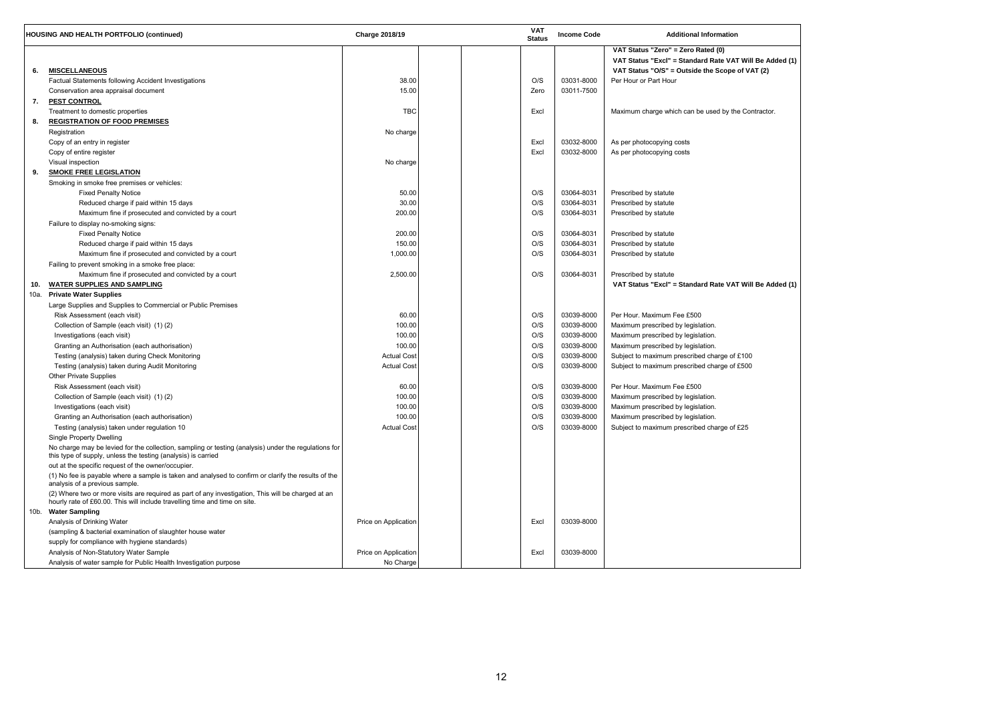| Be Added (1)<br>$\mathsf{T}(2)$ |  |
|---------------------------------|--|
| tractor.                        |  |
|                                 |  |
|                                 |  |
| Be Added (1)                    |  |
|                                 |  |
|                                 |  |
|                                 |  |
|                                 |  |
|                                 |  |
|                                 |  |

|      | <b>HOUSING AND HEALTH PORTFOLIO (continued)</b>                                                                                                                                                          | <b>Charge 2018/19</b> |  | <b>VAT</b><br><b>Status</b> | <b>Income Code</b> | <b>Additional Information</b>                                                                                                                    |
|------|----------------------------------------------------------------------------------------------------------------------------------------------------------------------------------------------------------|-----------------------|--|-----------------------------|--------------------|--------------------------------------------------------------------------------------------------------------------------------------------------|
| 6.   | <b>MISCELLANEOUS</b>                                                                                                                                                                                     |                       |  |                             |                    | VAT Status "Zero" = Zero Rated (0)<br>VAT Status "Excl" = Standard Rate VAT Will Be Added (1)<br>VAT Status "O/S" = Outside the Scope of VAT (2) |
|      | Factual Statements following Accident Investigations                                                                                                                                                     | 38.00                 |  | O/S                         | 03031-8000         | Per Hour or Part Hour                                                                                                                            |
|      | Conservation area appraisal document                                                                                                                                                                     | 15.00                 |  | Zero                        | 03011-7500         |                                                                                                                                                  |
| 7.   | <b>PEST CONTROL</b>                                                                                                                                                                                      |                       |  |                             |                    |                                                                                                                                                  |
|      | Treatment to domestic properties                                                                                                                                                                         | TBC                   |  | Excl                        |                    | Maximum charge which can be used by the Contractor.                                                                                              |
| 8.   | <b>REGISTRATION OF FOOD PREMISES</b>                                                                                                                                                                     |                       |  |                             |                    |                                                                                                                                                  |
|      | Registration                                                                                                                                                                                             | No charge             |  |                             |                    |                                                                                                                                                  |
|      | Copy of an entry in register                                                                                                                                                                             |                       |  | Excl                        | 03032-8000         | As per photocopying costs                                                                                                                        |
|      | Copy of entire register                                                                                                                                                                                  |                       |  | Excl                        | 03032-8000         | As per photocopying costs                                                                                                                        |
|      | Visual inspection                                                                                                                                                                                        | No charge             |  |                             |                    |                                                                                                                                                  |
| 9.   | <b>SMOKE FREE LEGISLATION</b>                                                                                                                                                                            |                       |  |                             |                    |                                                                                                                                                  |
|      | Smoking in smoke free premises or vehicles:                                                                                                                                                              |                       |  |                             |                    |                                                                                                                                                  |
|      | <b>Fixed Penalty Notice</b>                                                                                                                                                                              | 50.00                 |  | O/S                         | 03064-8031         | Prescribed by statute                                                                                                                            |
|      | Reduced charge if paid within 15 days                                                                                                                                                                    | 30.00                 |  | O/S                         | 03064-8031         | Prescribed by statute                                                                                                                            |
|      | Maximum fine if prosecuted and convicted by a court                                                                                                                                                      | 200.00                |  | O/S                         | 03064-8031         | Prescribed by statute                                                                                                                            |
|      | Failure to display no-smoking signs:                                                                                                                                                                     |                       |  |                             |                    |                                                                                                                                                  |
|      | <b>Fixed Penalty Notice</b>                                                                                                                                                                              | 200.00                |  | O/S                         | 03064-8031         | Prescribed by statute                                                                                                                            |
|      | Reduced charge if paid within 15 days                                                                                                                                                                    | 150.00                |  | O/S                         | 03064-8031         | Prescribed by statute                                                                                                                            |
|      | Maximum fine if prosecuted and convicted by a court                                                                                                                                                      | 1,000.00              |  | O/S                         | 03064-8031         | Prescribed by statute                                                                                                                            |
|      | Failing to prevent smoking in a smoke free place:                                                                                                                                                        |                       |  |                             |                    |                                                                                                                                                  |
|      | Maximum fine if prosecuted and convicted by a court                                                                                                                                                      | 2,500.00              |  | O/S                         | 03064-8031         | Prescribed by statute                                                                                                                            |
| 10.  | <b>WATER SUPPLIES AND SAMPLING</b>                                                                                                                                                                       |                       |  |                             |                    | VAT Status "Excl" = Standard Rate VAT Will Be Added (1)                                                                                          |
| 10a. | <b>Private Water Supplies</b>                                                                                                                                                                            |                       |  |                             |                    |                                                                                                                                                  |
|      | Large Supplies and Supplies to Commercial or Public Premises                                                                                                                                             |                       |  |                             |                    |                                                                                                                                                  |
|      | Risk Assessment (each visit)                                                                                                                                                                             | 60.00                 |  | O/S                         | 03039-8000         | Per Hour. Maximum Fee £500                                                                                                                       |
|      | Collection of Sample (each visit) (1) (2)                                                                                                                                                                | 100.00                |  | O/S                         | 03039-8000         | Maximum prescribed by legislation.                                                                                                               |
|      | Investigations (each visit)                                                                                                                                                                              | 100.00                |  | O/S                         | 03039-8000         | Maximum prescribed by legislation.                                                                                                               |
|      | Granting an Authorisation (each authorisation)                                                                                                                                                           | 100.00                |  | O/S                         | 03039-8000         | Maximum prescribed by legislation.                                                                                                               |
|      |                                                                                                                                                                                                          | <b>Actual Cost</b>    |  | O/S                         | 03039-8000         | Subject to maximum prescribed charge of £100                                                                                                     |
|      | Testing (analysis) taken during Check Monitoring                                                                                                                                                         | <b>Actual Cost</b>    |  | O/S                         | 03039-8000         |                                                                                                                                                  |
|      | Testing (analysis) taken during Audit Monitoring                                                                                                                                                         |                       |  |                             |                    | Subject to maximum prescribed charge of £500                                                                                                     |
|      | Other Private Supplies                                                                                                                                                                                   |                       |  |                             |                    | Per Hour. Maximum Fee £500                                                                                                                       |
|      | Risk Assessment (each visit)                                                                                                                                                                             | 60.00                 |  | O/S                         | 03039-8000         |                                                                                                                                                  |
|      | Collection of Sample (each visit) (1)(2)                                                                                                                                                                 | 100.00                |  | O/S                         | 03039-8000         | Maximum prescribed by legislation.                                                                                                               |
|      | Investigations (each visit)                                                                                                                                                                              | 100.00                |  | O/S                         | 03039-8000         | Maximum prescribed by legislation.                                                                                                               |
|      | Granting an Authorisation (each authorisation)                                                                                                                                                           | 100.00                |  | O/S                         | 03039-8000         | Maximum prescribed by legislation.                                                                                                               |
|      | Testing (analysis) taken under regulation 10                                                                                                                                                             | <b>Actual Cost</b>    |  | O/S                         | 03039-8000         | Subject to maximum prescribed charge of £25                                                                                                      |
|      | <b>Single Property Dwelling</b><br>No charge may be levied for the collection, sampling or testing (analysis) under the regulations for<br>this type of supply, unless the testing (analysis) is carried |                       |  |                             |                    |                                                                                                                                                  |
|      | out at the specific request of the owner/occupier.                                                                                                                                                       |                       |  |                             |                    |                                                                                                                                                  |
|      | (1) No fee is payable where a sample is taken and analysed to confirm or clarify the results of the<br>analysis of a previous sample.                                                                    |                       |  |                             |                    |                                                                                                                                                  |
|      | (2) Where two or more visits are required as part of any investigation, This will be charged at an<br>hourly rate of £60.00. This will include travelling time and time on site.                         |                       |  |                             |                    |                                                                                                                                                  |
|      | 10b. Water Sampling                                                                                                                                                                                      |                       |  |                             |                    |                                                                                                                                                  |
|      | Analysis of Drinking Water                                                                                                                                                                               | Price on Application  |  | Excl                        | 03039-8000         |                                                                                                                                                  |
|      | (sampling & bacterial examination of slaughter house water                                                                                                                                               |                       |  |                             |                    |                                                                                                                                                  |
|      | supply for compliance with hygiene standards)                                                                                                                                                            |                       |  |                             |                    |                                                                                                                                                  |
|      | Analysis of Non-Statutory Water Sample                                                                                                                                                                   | Price on Application  |  | Excl                        | 03039-8000         |                                                                                                                                                  |
|      | Analysis of water sample for Public Health Investigation purpose                                                                                                                                         | No Charge             |  |                             |                    |                                                                                                                                                  |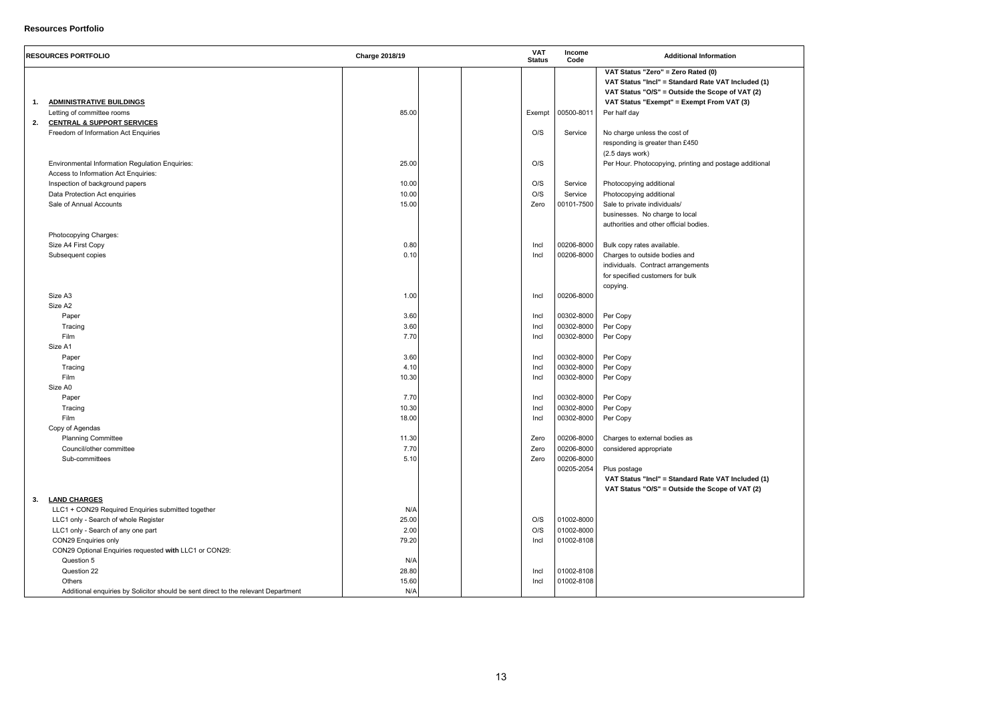| d (1)<br>2) |  |  |
|-------------|--|--|
|             |  |  |
| onal        |  |  |
|             |  |  |
|             |  |  |
|             |  |  |
|             |  |  |
|             |  |  |
|             |  |  |
|             |  |  |
| d (1)<br>2) |  |  |
|             |  |  |
|             |  |  |

## **Resources Portfolio**

|    | <b>RESOURCES PORTFOLIO</b>                                                         | <b>Charge 2018/19</b> |  | <b>VAT</b><br><b>Status</b> | Income<br>Code | <b>Additional Information</b>                                                                                                               |  |
|----|------------------------------------------------------------------------------------|-----------------------|--|-----------------------------|----------------|---------------------------------------------------------------------------------------------------------------------------------------------|--|
|    |                                                                                    |                       |  |                             |                | VAT Status "Zero" = Zero Rated (0)<br>VAT Status "Incl" = Standard Rate VAT Included (1)<br>VAT Status "O/S" = Outside the Scope of VAT (2) |  |
| 1. | <b>ADMINISTRATIVE BUILDINGS</b>                                                    |                       |  |                             |                | VAT Status "Exempt" = Exempt From VAT (3)                                                                                                   |  |
|    | Letting of committee rooms                                                         | 85.00                 |  | Exempt                      | 00500-8011     | Per half day                                                                                                                                |  |
| 2. | <b>CENTRAL &amp; SUPPORT SERVICES</b>                                              |                       |  |                             |                |                                                                                                                                             |  |
|    | Freedom of Information Act Enquiries                                               |                       |  | O/S                         | Service        | No charge unless the cost of                                                                                                                |  |
|    |                                                                                    |                       |  |                             |                | responding is greater than £450                                                                                                             |  |
|    |                                                                                    |                       |  |                             |                | (2.5 days work)                                                                                                                             |  |
|    | <b>Environmental Information Regulation Enquiries:</b>                             | 25.00                 |  | O/S                         |                | Per Hour. Photocopying, printing and postage additional                                                                                     |  |
|    | Access to Information Act Enquiries:                                               |                       |  |                             |                |                                                                                                                                             |  |
|    | Inspection of background papers                                                    | 10.00                 |  | O/S                         | Service        | Photocopying additional                                                                                                                     |  |
|    | Data Protection Act enquiries                                                      | 10.00                 |  | O/S                         | Service        | Photocopying additional                                                                                                                     |  |
|    | Sale of Annual Accounts                                                            | 15.00                 |  | Zero                        | 00101-7500     | Sale to private individuals/                                                                                                                |  |
|    |                                                                                    |                       |  |                             |                | businesses. No charge to local                                                                                                              |  |
|    |                                                                                    |                       |  |                             |                | authorities and other official bodies.                                                                                                      |  |
|    | Photocopying Charges:                                                              |                       |  |                             |                |                                                                                                                                             |  |
|    | Size A4 First Copy                                                                 | 0.80                  |  | Incl                        | 00206-8000     | Bulk copy rates available.                                                                                                                  |  |
|    | Subsequent copies                                                                  | 0.10                  |  | Incl                        | 00206-8000     | Charges to outside bodies and                                                                                                               |  |
|    |                                                                                    |                       |  |                             |                | individuals. Contract arrangements                                                                                                          |  |
|    |                                                                                    |                       |  |                             |                | for specified customers for bulk                                                                                                            |  |
|    |                                                                                    |                       |  |                             |                | copying.                                                                                                                                    |  |
|    | Size A3                                                                            | 1.00                  |  | Incl                        | 00206-8000     |                                                                                                                                             |  |
|    | Size A2                                                                            |                       |  |                             |                |                                                                                                                                             |  |
|    | Paper                                                                              | 3.60                  |  | Incl                        | 00302-8000     | Per Copy                                                                                                                                    |  |
|    | Tracing                                                                            | 3.60                  |  | Incl                        | 00302-8000     | Per Copy                                                                                                                                    |  |
|    | Film                                                                               | 7.70                  |  | Incl                        | 00302-8000     | Per Copy                                                                                                                                    |  |
|    | Size A1                                                                            |                       |  |                             |                |                                                                                                                                             |  |
|    | Paper                                                                              | 3.60                  |  | Incl                        | 00302-8000     | Per Copy                                                                                                                                    |  |
|    | Tracing                                                                            | 4.10                  |  | Incl                        | 00302-8000     | Per Copy                                                                                                                                    |  |
|    | Film                                                                               | 10.30                 |  | Incl                        | 00302-8000     | Per Copy                                                                                                                                    |  |
|    | Size A0                                                                            |                       |  |                             |                |                                                                                                                                             |  |
|    | Paper                                                                              | 7.70                  |  | Incl                        | 00302-8000     | Per Copy                                                                                                                                    |  |
|    | Tracing                                                                            | 10.30                 |  | Incl                        | 00302-8000     | Per Copy                                                                                                                                    |  |
|    | Film                                                                               | 18.00                 |  | Incl                        | 00302-8000     | Per Copy                                                                                                                                    |  |
|    | Copy of Agendas                                                                    |                       |  |                             |                |                                                                                                                                             |  |
|    | <b>Planning Committee</b>                                                          | 11.30                 |  | Zero                        | 00206-8000     | Charges to external bodies as                                                                                                               |  |
|    | Council/other committee                                                            | 7.70                  |  | Zero                        | 00206-8000     | considered appropriate                                                                                                                      |  |
|    | Sub-committees                                                                     | 5.10                  |  | Zero                        | 00206-8000     |                                                                                                                                             |  |
|    |                                                                                    |                       |  |                             | 00205-2054     | Plus postage                                                                                                                                |  |
|    |                                                                                    |                       |  |                             |                | VAT Status "Incl" = Standard Rate VAT Included (1)                                                                                          |  |
|    |                                                                                    |                       |  |                             |                | VAT Status "O/S" = Outside the Scope of VAT (2)                                                                                             |  |
| 3. | <b>LAND CHARGES</b>                                                                |                       |  |                             |                |                                                                                                                                             |  |
|    | LLC1 + CON29 Required Enquiries submitted together                                 | N/A                   |  |                             |                |                                                                                                                                             |  |
|    | LLC1 only - Search of whole Register                                               | 25.00                 |  | O/S                         | 01002-8000     |                                                                                                                                             |  |
|    | LLC1 only - Search of any one part                                                 | 2.00                  |  | O/S                         | 01002-8000     |                                                                                                                                             |  |
|    | CON29 Enquiries only                                                               | 79.20                 |  | Incl                        | 01002-8108     |                                                                                                                                             |  |
|    | CON29 Optional Enquiries requested with LLC1 or CON29:                             |                       |  |                             |                |                                                                                                                                             |  |
|    | Question 5                                                                         | N/A                   |  |                             |                |                                                                                                                                             |  |
|    | Question 22                                                                        | 28.80                 |  | Incl                        | 01002-8108     |                                                                                                                                             |  |
|    | Others                                                                             | 15.60                 |  | Incl                        | 01002-8108     |                                                                                                                                             |  |
|    | Additional enquiries by Solicitor should be sent direct to the relevant Department | N/A                   |  |                             |                |                                                                                                                                             |  |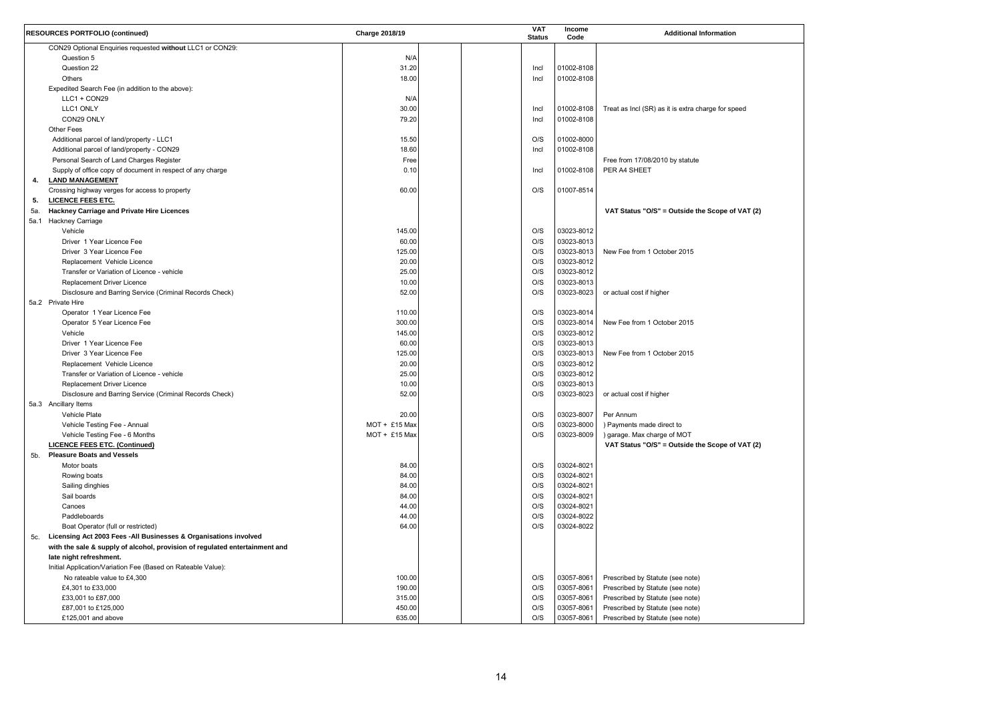| 2) |  |  |  |
|----|--|--|--|
|    |  |  |  |
|    |  |  |  |
|    |  |  |  |
|    |  |  |  |
|    |  |  |  |
|    |  |  |  |
|    |  |  |  |
|    |  |  |  |
| 2) |  |  |  |
|    |  |  |  |
|    |  |  |  |
|    |  |  |  |
|    |  |  |  |
|    |  |  |  |
|    |  |  |  |
|    |  |  |  |
|    |  |  |  |

|     | <b>RESOURCES PORTFOLIO (continued)</b>                                      | Charge 2018/19 |  | <b>VAT</b><br><b>Status</b> | Income<br>Code | <b>Additional Information</b>                      |
|-----|-----------------------------------------------------------------------------|----------------|--|-----------------------------|----------------|----------------------------------------------------|
|     | CON29 Optional Enquiries requested without LLC1 or CON29:                   |                |  |                             |                |                                                    |
|     | Question 5                                                                  | N/A            |  |                             |                |                                                    |
|     | Question 22                                                                 | 31.20          |  | Incl                        | 01002-8108     |                                                    |
|     | Others                                                                      | 18.00          |  | Incl                        | 01002-8108     |                                                    |
|     | Expedited Search Fee (in addition to the above):                            |                |  |                             |                |                                                    |
|     | LLC1 + CON29                                                                | N/A            |  |                             |                |                                                    |
|     | LLC1 ONLY                                                                   | 30.00          |  | Incl                        | 01002-8108     | Treat as Incl (SR) as it is extra charge for speed |
|     | CON29 ONLY                                                                  | 79.20          |  | Incl                        | 01002-8108     |                                                    |
|     | <b>Other Fees</b>                                                           |                |  |                             |                |                                                    |
|     | Additional parcel of land/property - LLC1                                   | 15.50          |  | O/S                         | 01002-8000     |                                                    |
|     | Additional parcel of land/property - CON29                                  | 18.60          |  | Incl                        | 01002-8108     |                                                    |
|     | Personal Search of Land Charges Register                                    | Free           |  |                             |                | Free from 17/08/2010 by statute                    |
|     | Supply of office copy of document in respect of any charge                  | 0.10           |  | Incl                        | 01002-8108     | PER A4 SHEET                                       |
| 4.  | <b>LAND MANAGEMENT</b>                                                      |                |  |                             |                |                                                    |
|     | Crossing highway verges for access to property                              | 60.00          |  | O/S                         | 01007-8514     |                                                    |
|     | <b>LICENCE FEES ETC.</b>                                                    |                |  |                             |                |                                                    |
| 5.  |                                                                             |                |  |                             |                |                                                    |
| 5a. | <b>Hackney Carriage and Private Hire Licences</b>                           |                |  |                             |                | VAT Status "O/S" = Outside the Scope of VAT (2)    |
|     | 5a.1 Hackney Carriage                                                       |                |  |                             |                |                                                    |
|     | Vehicle                                                                     | 145.00         |  | O/S                         | 03023-8012     |                                                    |
|     | Driver 1 Year Licence Fee                                                   | 60.00          |  | O/S                         | 03023-8013     |                                                    |
|     | Driver 3 Year Licence Fee                                                   | 125.00         |  | O/S                         | 03023-8013     | New Fee from 1 October 2015                        |
|     | Replacement Vehicle Licence                                                 | 20.00          |  | O/S                         | 03023-8012     |                                                    |
|     | Transfer or Variation of Licence - vehicle                                  | 25.00          |  | O/S                         | 03023-8012     |                                                    |
|     | Replacement Driver Licence                                                  | 10.00          |  | O/S                         | 03023-8013     |                                                    |
|     | Disclosure and Barring Service (Criminal Records Check)                     | 52.00          |  | O/S                         | 03023-8023     | or actual cost if higher                           |
|     | 5a.2 Private Hire                                                           |                |  |                             |                |                                                    |
|     | Operator 1 Year Licence Fee                                                 | 110.00         |  | O/S                         | 03023-8014     |                                                    |
|     | Operator 5 Year Licence Fee                                                 | 300.00         |  | O/S                         | 03023-8014     | New Fee from 1 October 2015                        |
|     | Vehicle                                                                     | 145.00         |  | O/S                         | 03023-8012     |                                                    |
|     | Driver 1 Year Licence Fee                                                   | 60.00          |  | O/S                         | 03023-8013     |                                                    |
|     | Driver 3 Year Licence Fee                                                   | 125.00         |  | O/S                         | 03023-8013     | New Fee from 1 October 2015                        |
|     | Replacement Vehicle Licence                                                 | 20.00          |  | O/S                         | 03023-8012     |                                                    |
|     | Transfer or Variation of Licence - vehicle                                  | 25.00          |  | O/S                         | 03023-8012     |                                                    |
|     | Replacement Driver Licence                                                  | 10.00          |  | O/S                         | 03023-8013     |                                                    |
|     | Disclosure and Barring Service (Criminal Records Check)                     | 52.00          |  | O/S                         | 03023-8023     | or actual cost if higher                           |
|     | 5a.3 Ancillary Items                                                        |                |  |                             |                |                                                    |
|     | Vehicle Plate                                                               | 20.00          |  | O/S                         | 03023-8007     | Per Annum                                          |
|     | Vehicle Testing Fee - Annual                                                | MOT + £15 Max  |  | O/S                         | 03023-8000     | ) Payments made direct to                          |
|     | Vehicle Testing Fee - 6 Months                                              | MOT + £15 Max  |  | O/S                         | 03023-8009     | ) garage. Max charge of MOT                        |
|     | <b>LICENCE FEES ETC. (Continued)</b>                                        |                |  |                             |                | VAT Status "O/S" = Outside the Scope of VAT (2)    |
| 5b. | <b>Pleasure Boats and Vessels</b>                                           |                |  |                             |                |                                                    |
|     | Motor boats                                                                 | 84.00          |  | O/S                         | 03024-8021     |                                                    |
|     | Rowing boats                                                                | 84.00          |  | O/S                         | 03024-8021     |                                                    |
|     | Sailing dinghies                                                            | 84.00          |  | O/S                         | 03024-8021     |                                                    |
|     | Sail boards                                                                 | 84.00          |  | O/S                         | 03024-8021     |                                                    |
|     | Canoes                                                                      | 44.00          |  | O/S                         | 03024-8021     |                                                    |
|     | Paddleboards                                                                |                |  |                             |                |                                                    |
|     |                                                                             | 44.00          |  | O/S                         | 03024-8022     |                                                    |
|     | Boat Operator (full or restricted)                                          | 64.00          |  | O/S                         | 03024-8022     |                                                    |
| 5c. | Licensing Act 2003 Fees - All Businesses & Organisations involved           |                |  |                             |                |                                                    |
|     | with the sale & supply of alcohol, provision of regulated entertainment and |                |  |                             |                |                                                    |
|     | late night refreshment.                                                     |                |  |                             |                |                                                    |
|     | Initial Application/Variation Fee (Based on Rateable Value):                |                |  |                             |                |                                                    |
|     | No rateable value to £4,300                                                 | 100.00         |  | O/S                         | 03057-8061     | Prescribed by Statute (see note)                   |
|     | £4,301 to £33,000                                                           | 190.00         |  | O/S                         | 03057-8061     | Prescribed by Statute (see note)                   |
|     | £33,001 to £87,000                                                          | 315.00         |  | O/S                         | 03057-8061     | Prescribed by Statute (see note)                   |
|     | £87,001 to £125,000                                                         | 450.00         |  | O/S                         | 03057-8061     | Prescribed by Statute (see note)                   |
|     | £125,001 and above                                                          | 635.00         |  | O/S                         | 03057-8061     | Prescribed by Statute (see note)                   |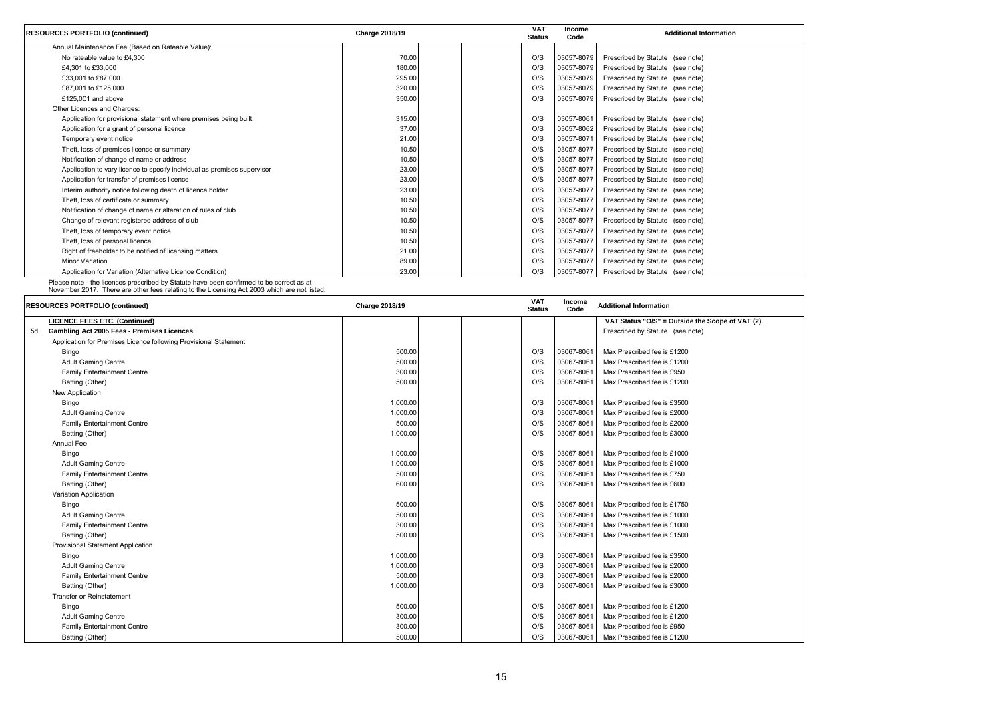| <b>RESOURCES PORTFOLIO (continued)</b>                                   | Charge 2018/19 | <b>VAT</b><br><b>Status</b> | Income<br>Code | <b>Additional Information</b>    |
|--------------------------------------------------------------------------|----------------|-----------------------------|----------------|----------------------------------|
| Annual Maintenance Fee (Based on Rateable Value):                        |                |                             |                |                                  |
| No rateable value to £4,300                                              | 70.00          | O/S                         | 03057-8079     | Prescribed by Statute (see note) |
| £4,301 to £33,000                                                        | 180.00         | O/S                         | 03057-8079     | Prescribed by Statute (see note) |
| £33,001 to £87,000                                                       | 295.00         | O/S                         | 03057-8079     | Prescribed by Statute (see note) |
| £87,001 to £125,000                                                      | 320.00         | O/S                         | 03057-8079     | Prescribed by Statute (see note) |
| £125,001 and above                                                       | 350.00         | O/S                         | 03057-8079     | Prescribed by Statute (see note) |
| Other Licences and Charges:                                              |                |                             |                |                                  |
| Application for provisional statement where premises being built         | 315.00         | O/S                         | 03057-8061     | Prescribed by Statute (see note) |
| Application for a grant of personal licence                              | 37.00          | O/S                         | 03057-8062     | Prescribed by Statute (see note) |
| Temporary event notice                                                   | 21.00          | O/S                         | 03057-8071     | Prescribed by Statute (see note) |
| Theft, loss of premises licence or summary                               | 10.50          | O/S                         | 03057-8077     | Prescribed by Statute (see note) |
| Notification of change of name or address                                | 10.50          | O/S                         | 03057-8077     | Prescribed by Statute (see note) |
| Application to vary licence to specify individual as premises supervisor | 23.00          | O/S                         | 03057-8077     | Prescribed by Statute (see note) |
| Application for transfer of premises licence                             | 23.00          | O/S                         | 03057-8077     | Prescribed by Statute (see note) |
| Interim authority notice following death of licence holder               | 23.00          | O/S                         | 03057-8077     | Prescribed by Statute (see note) |
| Theft, loss of certificate or summary                                    | 10.50          | O/S                         | 03057-8077     | Prescribed by Statute (see note) |
| Notification of change of name or alteration of rules of club            | 10.50          | O/S                         | 03057-8077     | Prescribed by Statute (see note) |
| Change of relevant registered address of club                            | 10.50          | O/S                         | 03057-8077     | Prescribed by Statute (see note) |
| Theft, loss of temporary event notice                                    | 10.50          | O/S                         | 03057-8077     | Prescribed by Statute (see note) |
| Theft, loss of personal licence                                          | 10.50          | O/S                         | 03057-8077     | Prescribed by Statute (see note) |
| Right of freeholder to be notified of licensing matters                  | 21.00          | O/S                         | 03057-8077     | Prescribed by Statute (see note) |
| <b>Minor Variation</b>                                                   | 89.00          | O/S                         | 03057-8077     | Prescribed by Statute (see note) |
| Application for Variation (Alternative Licence Condition)                | 23.00          | O/S                         | 03057-8077     | Prescribed by Statute (see note) |

Please note - the licences prescribed by Statute have been confirmed to be correct as at November 2017. There are other fees relating to the Licensing Act 2003 which are not listed.

|     | <b>RESOURCES PORTFOLIO (continued)</b>                           | Charge 2018/19 |  | <b>VAT</b><br><b>Status</b> | Income<br>Code | <b>Additional Information</b>                   |
|-----|------------------------------------------------------------------|----------------|--|-----------------------------|----------------|-------------------------------------------------|
|     | <b>LICENCE FEES ETC. (Continued)</b>                             |                |  |                             |                | VAT Status "O/S" = Outside the Scope of VAT (2) |
| 5d. | <b>Gambling Act 2005 Fees - Premises Licences</b>                |                |  |                             |                | Prescribed by Statute (see note)                |
|     | Application for Premises Licence following Provisional Statement |                |  |                             |                |                                                 |
|     | Bingo                                                            | 500.00         |  | O/S                         | 03067-8061     | Max Prescribed fee is £1200                     |
|     | <b>Adult Gaming Centre</b>                                       | 500.00         |  | O/S                         | 03067-8061     | Max Prescribed fee is £1200                     |
|     | <b>Family Entertainment Centre</b>                               | 300.00         |  | O/S                         | 03067-8061     | Max Prescribed fee is £950                      |
|     | Betting (Other)                                                  | 500.00         |  | O/S                         | 03067-8061     | Max Prescribed fee is £1200                     |
|     | New Application                                                  |                |  |                             |                |                                                 |
|     | Bingo                                                            | 1,000.00       |  | O/S                         | 03067-8061     | Max Prescribed fee is £3500                     |
|     | <b>Adult Gaming Centre</b>                                       | 1,000.00       |  | O/S                         | 03067-8061     | Max Prescribed fee is £2000                     |
|     | <b>Family Entertainment Centre</b>                               | 500.00         |  | O/S                         | 03067-8061     | Max Prescribed fee is £2000                     |
|     | Betting (Other)                                                  | 1,000.00       |  | O/S                         | 03067-8061     | Max Prescribed fee is £3000                     |
|     | Annual Fee                                                       |                |  |                             |                |                                                 |
|     | Bingo                                                            | 1,000.00       |  | O/S                         | 03067-8061     | Max Prescribed fee is £1000                     |
|     | <b>Adult Gaming Centre</b>                                       | 1,000.00       |  | O/S                         | 03067-8061     | Max Prescribed fee is £1000                     |
|     | <b>Family Entertainment Centre</b>                               | 500.00         |  | O/S                         | 03067-8061     | Max Prescribed fee is £750                      |
|     | Betting (Other)                                                  | 600.00         |  | O/S                         | 03067-8061     | Max Prescribed fee is £600                      |
|     | Variation Application                                            |                |  |                             |                |                                                 |
|     | Bingo                                                            | 500.00         |  | O/S                         | 03067-8061     | Max Prescribed fee is £1750                     |
|     | <b>Adult Gaming Centre</b>                                       | 500.00         |  | O/S                         | 03067-8061     | Max Prescribed fee is £1000                     |
|     | <b>Family Entertainment Centre</b>                               | 300.00         |  | O/S                         | 03067-8061     | Max Prescribed fee is £1000                     |
|     | Betting (Other)                                                  | 500.00         |  | O/S                         | 03067-8061     | Max Prescribed fee is £1500                     |
|     | <b>Provisional Statement Application</b>                         |                |  |                             |                |                                                 |
|     | Bingo                                                            | 1,000.00       |  | O/S                         | 03067-8061     | Max Prescribed fee is £3500                     |
|     | <b>Adult Gaming Centre</b>                                       | 1,000.00       |  | O/S                         | 03067-8061     | Max Prescribed fee is £2000                     |
|     | <b>Family Entertainment Centre</b>                               | 500.00         |  | O/S                         | 03067-8061     | Max Prescribed fee is £2000                     |
|     | Betting (Other)                                                  | 1,000.00       |  | O/S                         | 03067-8061     | Max Prescribed fee is £3000                     |
|     | Transfer or Reinstatement                                        |                |  |                             |                |                                                 |
|     | Bingo                                                            | 500.00         |  | O/S                         | 03067-8061     | Max Prescribed fee is £1200                     |
|     | <b>Adult Gaming Centre</b>                                       | 300.00         |  | O/S                         | 03067-8061     | Max Prescribed fee is £1200                     |
|     | <b>Family Entertainment Centre</b>                               | 300.00         |  | O/S                         | 03067-8061     | Max Prescribed fee is £950                      |
|     | Betting (Other)                                                  | 500.00         |  | O/S                         | 03067-8061     | Max Prescribed fee is £1200                     |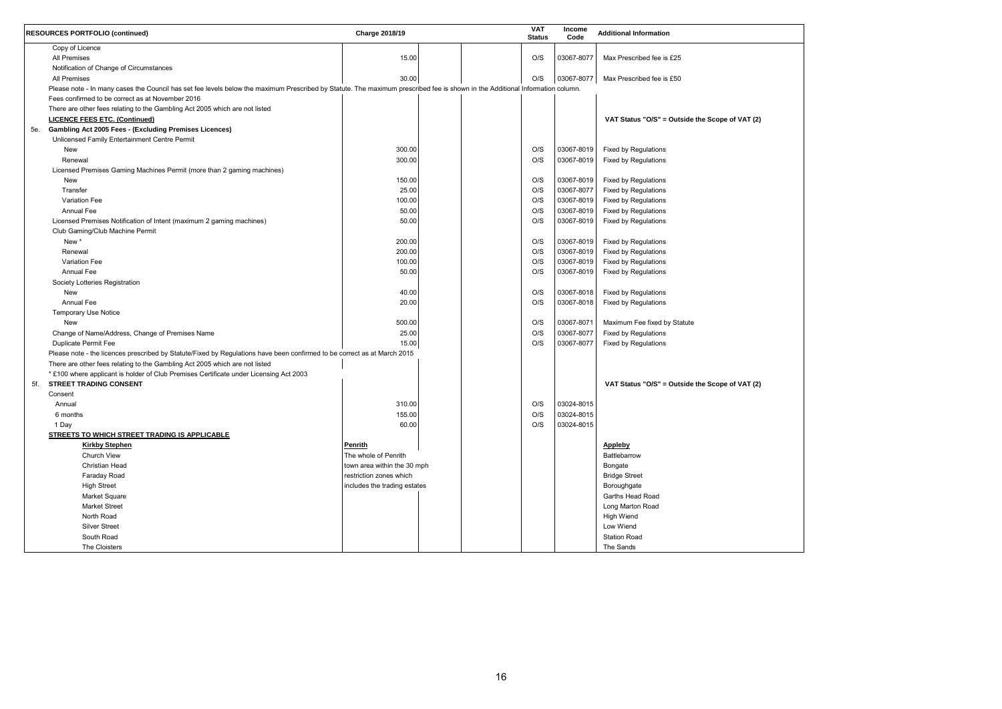| (2) |  |  |
|-----|--|--|
|     |  |  |
|     |  |  |
|     |  |  |
|     |  |  |
|     |  |  |
|     |  |  |
|     |  |  |
|     |  |  |
|     |  |  |
|     |  |  |
|     |  |  |
|     |  |  |
|     |  |  |
|     |  |  |
|     |  |  |
|     |  |  |
|     |  |  |
|     |  |  |
|     |  |  |
|     |  |  |
|     |  |  |
|     |  |  |
|     |  |  |
|     |  |  |
|     |  |  |
|     |  |  |
|     |  |  |
|     |  |  |
|     |  |  |
|     |  |  |
|     |  |  |
| (2) |  |  |
|     |  |  |
|     |  |  |
|     |  |  |
|     |  |  |
|     |  |  |
|     |  |  |
|     |  |  |
|     |  |  |
|     |  |  |
|     |  |  |
|     |  |  |
|     |  |  |
|     |  |  |
|     |  |  |
|     |  |  |
|     |  |  |
|     |  |  |
|     |  |  |
|     |  |  |
|     |  |  |
|     |  |  |

|     | <b>RESOURCES PORTFOLIO (continued)</b>                                                                                                                                        | Charge 2018/19               |  | <b>VAT</b><br><b>Status</b> | <b>Income</b><br>Code | <b>Additional Information</b>                   |
|-----|-------------------------------------------------------------------------------------------------------------------------------------------------------------------------------|------------------------------|--|-----------------------------|-----------------------|-------------------------------------------------|
|     | Copy of Licence                                                                                                                                                               |                              |  |                             |                       |                                                 |
|     | <b>All Premises</b>                                                                                                                                                           | 15.00                        |  | O/S                         | 03067-8077            | Max Prescribed fee is £25                       |
|     | Notification of Change of Circumstances                                                                                                                                       |                              |  |                             |                       |                                                 |
|     | <b>All Premises</b>                                                                                                                                                           | 30.00                        |  | O/S                         | 03067-8077            | Max Prescribed fee is £50                       |
|     | Please note - In many cases the Council has set fee levels below the maximum Prescribed by Statute. The maximum prescribed fee is shown in the Additional Information column. |                              |  |                             |                       |                                                 |
|     | Fees confirmed to be correct as at November 2016                                                                                                                              |                              |  |                             |                       |                                                 |
|     | There are other fees relating to the Gambling Act 2005 which are not listed                                                                                                   |                              |  |                             |                       |                                                 |
|     | <b>LICENCE FEES ETC. (Continued)</b>                                                                                                                                          |                              |  |                             |                       | VAT Status "O/S" = Outside the Scope of VAT (2) |
|     | 5e. Gambling Act 2005 Fees - (Excluding Premises Licences)                                                                                                                    |                              |  |                             |                       |                                                 |
|     | Unlicensed Family Entertainment Centre Permit                                                                                                                                 |                              |  |                             |                       |                                                 |
|     | New                                                                                                                                                                           | 300.00                       |  | O/S                         | 03067-8019            | Fixed by Regulations                            |
|     | Renewal                                                                                                                                                                       | 300.00                       |  | O/S                         | 03067-8019            | <b>Fixed by Regulations</b>                     |
|     | Licensed Premises Gaming Machines Permit (more than 2 gaming machines)                                                                                                        |                              |  |                             |                       |                                                 |
|     | New                                                                                                                                                                           | 150.00                       |  | O/S                         | 03067-8019            | Fixed by Regulations                            |
|     | Transfer                                                                                                                                                                      | 25.00                        |  | O/S                         | 03067-8077            | <b>Fixed by Regulations</b>                     |
|     | <b>Variation Fee</b>                                                                                                                                                          | 100.00                       |  | O/S                         | 03067-8019            | <b>Fixed by Regulations</b>                     |
|     | <b>Annual Fee</b>                                                                                                                                                             | 50.00                        |  | O/S                         | 03067-8019            | <b>Fixed by Regulations</b>                     |
|     | Licensed Premises Notification of Intent (maximum 2 gaming machines)                                                                                                          | 50.00                        |  | O/S                         | 03067-8019            | <b>Fixed by Regulations</b>                     |
|     | Club Gaming/Club Machine Permit                                                                                                                                               |                              |  |                             |                       |                                                 |
|     | New *                                                                                                                                                                         | 200.00                       |  | O/S                         | 03067-8019            | Fixed by Regulations                            |
|     | Renewal                                                                                                                                                                       | 200.00                       |  | O/S                         | 03067-8019            | Fixed by Regulations                            |
|     | <b>Variation Fee</b>                                                                                                                                                          | 100.00                       |  | O/S                         | 03067-8019            | <b>Fixed by Regulations</b>                     |
|     | <b>Annual Fee</b>                                                                                                                                                             | 50.00                        |  | O/S                         | 03067-8019            | <b>Fixed by Regulations</b>                     |
|     | Society Lotteries Registration                                                                                                                                                |                              |  |                             |                       |                                                 |
|     | New                                                                                                                                                                           | 40.00                        |  | O/S                         | 03067-8018            | <b>Fixed by Regulations</b>                     |
|     | <b>Annual Fee</b>                                                                                                                                                             | 20.00                        |  | O/S                         | 03067-8018            | <b>Fixed by Regulations</b>                     |
|     |                                                                                                                                                                               |                              |  |                             |                       |                                                 |
|     | Temporary Use Notice<br>New                                                                                                                                                   | 500.00                       |  | O/S                         | 03067-8071            |                                                 |
|     |                                                                                                                                                                               |                              |  | O/S                         | 03067-8077            | Maximum Fee fixed by Statute                    |
|     | Change of Name/Address, Change of Premises Name                                                                                                                               | 25.00                        |  |                             |                       | Fixed by Regulations                            |
|     | Duplicate Permit Fee                                                                                                                                                          | 15.00                        |  | O/S                         | 03067-8077            | <b>Fixed by Regulations</b>                     |
|     | Please note - the licences prescribed by Statute/Fixed by Regulations have been confirmed to be correct as at March 2015                                                      |                              |  |                             |                       |                                                 |
|     | There are other fees relating to the Gambling Act 2005 which are not listed                                                                                                   |                              |  |                             |                       |                                                 |
|     | * £100 where applicant is holder of Club Premises Certificate under Licensing Act 2003                                                                                        |                              |  |                             |                       |                                                 |
| 5f. | <b>STREET TRADING CONSENT</b>                                                                                                                                                 |                              |  |                             |                       | VAT Status "O/S" = Outside the Scope of VAT (2) |
|     | Consent                                                                                                                                                                       |                              |  |                             |                       |                                                 |
|     | Annual                                                                                                                                                                        | 310.00                       |  | O/S                         | 03024-8015            |                                                 |
|     | 6 months                                                                                                                                                                      | 155.00                       |  | O/S                         | 03024-8015            |                                                 |
|     | 1 Day                                                                                                                                                                         | 60.00                        |  | O/S                         | 03024-8015            |                                                 |
|     | STREETS TO WHICH STREET TRADING IS APPLICABLE                                                                                                                                 |                              |  |                             |                       |                                                 |
|     | <b>Kirkby Stephen</b>                                                                                                                                                         | <b>Penrith</b>               |  |                             |                       | <b>Appleby</b>                                  |
|     | Church View                                                                                                                                                                   | The whole of Penrith         |  |                             |                       | <b>Battlebarrow</b>                             |
|     | <b>Christian Head</b>                                                                                                                                                         | town area within the 30 mph  |  |                             |                       | Bongate                                         |
|     | Faraday Road                                                                                                                                                                  | restriction zones which      |  |                             |                       | <b>Bridge Street</b>                            |
|     | <b>High Street</b>                                                                                                                                                            | includes the trading estates |  |                             |                       | Boroughgate                                     |
|     | <b>Market Square</b>                                                                                                                                                          |                              |  |                             |                       | Garths Head Road                                |
|     | <b>Market Street</b>                                                                                                                                                          |                              |  |                             |                       | Long Marton Road                                |
|     | North Road                                                                                                                                                                    |                              |  |                             |                       | <b>High Wiend</b>                               |
|     | <b>Silver Street</b>                                                                                                                                                          |                              |  |                             |                       | Low Wiend                                       |
|     | South Road                                                                                                                                                                    |                              |  |                             |                       | <b>Station Road</b>                             |
|     | The Cloisters                                                                                                                                                                 |                              |  |                             |                       | The Sands                                       |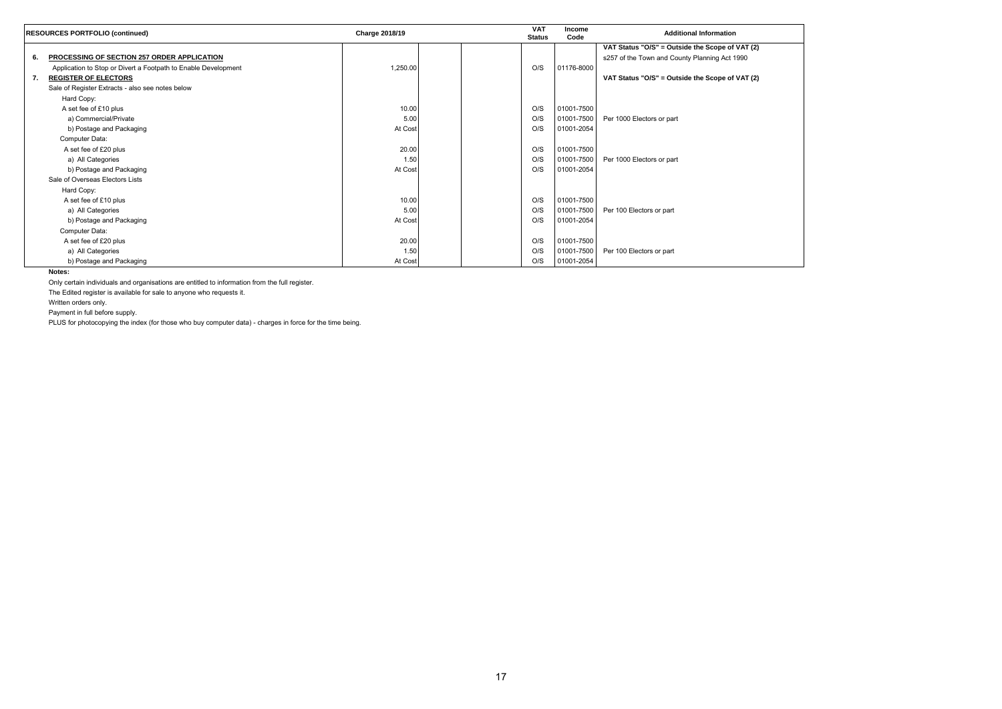

|    | <b>RESOURCES PORTFOLIO (continued)</b>                         | Charge 2018/19 | <b>VAT</b><br><b>Status</b> | <b>Income</b><br>Code | <b>Additional Information</b>                   |
|----|----------------------------------------------------------------|----------------|-----------------------------|-----------------------|-------------------------------------------------|
|    |                                                                |                |                             |                       | VAT Status "O/S" = Outside the Scope of VAT (2) |
| 6. | PROCESSING OF SECTION 257 ORDER APPLICATION                    |                |                             |                       | s257 of the Town and County Planning Act 1990   |
|    | Application to Stop or Divert a Footpath to Enable Development | 1,250.00       | O/S                         | 01176-8000            |                                                 |
| 7. | <b>REGISTER OF ELECTORS</b>                                    |                |                             |                       | VAT Status "O/S" = Outside the Scope of VAT (2) |
|    | Sale of Register Extracts - also see notes below               |                |                             |                       |                                                 |
|    | Hard Copy:                                                     |                |                             |                       |                                                 |
|    | A set fee of £10 plus                                          | 10.00          | O/S                         | 01001-7500            |                                                 |
|    | a) Commercial/Private                                          | 5.00           | O/S                         | 01001-7500            | Per 1000 Electors or part                       |
|    | b) Postage and Packaging                                       | At Cost        | O/S                         | 01001-2054            |                                                 |
|    | Computer Data:                                                 |                |                             |                       |                                                 |
|    | A set fee of £20 plus                                          | 20.00          | O/S                         | 01001-7500            |                                                 |
|    | a) All Categories                                              | 1.50           | O/S                         | 01001-7500            | Per 1000 Electors or part                       |
|    | b) Postage and Packaging                                       | At Cost        | O/S                         | 01001-2054            |                                                 |
|    | Sale of Overseas Electors Lists                                |                |                             |                       |                                                 |
|    | Hard Copy:                                                     |                |                             |                       |                                                 |
|    | A set fee of £10 plus                                          | 10.00          | O/S                         | 01001-7500            |                                                 |
|    | a) All Categories                                              | 5.00           | O/S                         | 01001-7500            | Per 100 Electors or part                        |
|    | b) Postage and Packaging                                       | At Cost        | O/S                         | 01001-2054            |                                                 |
|    | Computer Data:                                                 |                |                             |                       |                                                 |
|    | A set fee of £20 plus                                          | 20.00          | O/S                         | 01001-7500            |                                                 |
|    | a) All Categories                                              | 1.50           | O/S                         | 01001-7500            | Per 100 Electors or part                        |
|    | b) Postage and Packaging                                       | At Cost        | O/S                         | 01001-2054            |                                                 |

**Notes:**

Only certain individuals and organisations are entitled to information from the full register.

The Edited register is available for sale to anyone who requests it.

Written orders only.

Payment in full before supply.

PLUS for photocopying the index (for those who buy computer data) - charges in force for the time being.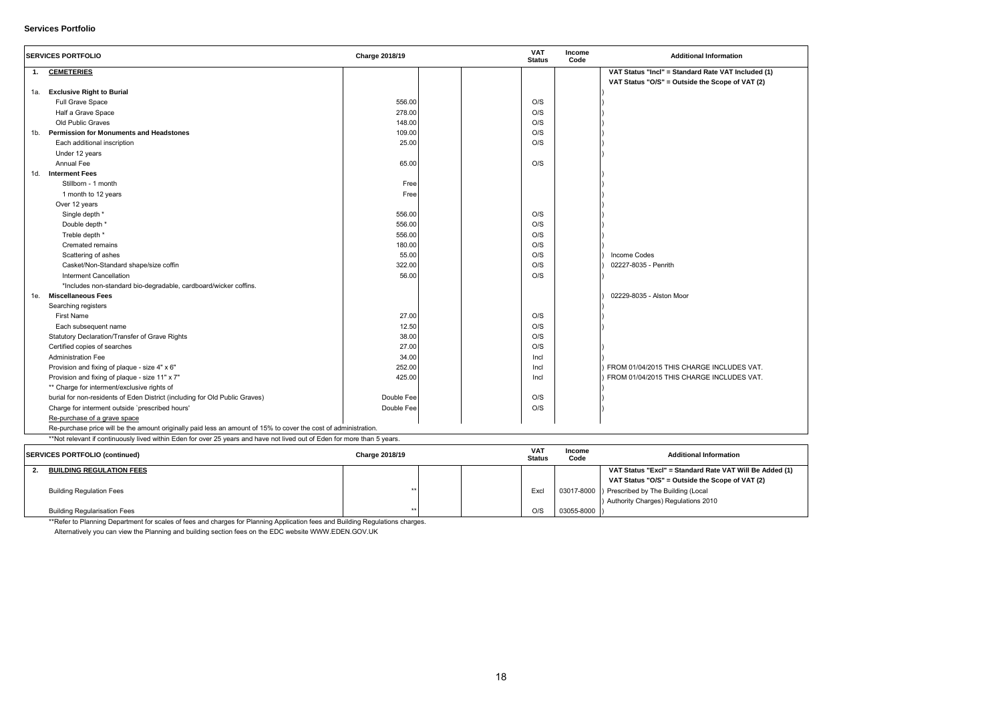

#### **Services Portfolio**

|     | <b>SERVICES PORTFOLIO</b>                                                                                       | <b>Charge 2018/19</b> |  | <b>VAT</b><br><b>Status</b> | Income<br>Code | <b>Additional Information</b>                      |
|-----|-----------------------------------------------------------------------------------------------------------------|-----------------------|--|-----------------------------|----------------|----------------------------------------------------|
| 1.  | <b>CEMETERIES</b>                                                                                               |                       |  |                             |                | VAT Status "Incl" = Standard Rate VAT Included (1) |
|     |                                                                                                                 |                       |  |                             |                | VAT Status "O/S" = Outside the Scope of VAT (2)    |
| 1a. | <b>Exclusive Right to Burial</b>                                                                                |                       |  |                             |                |                                                    |
|     | Full Grave Space                                                                                                | 556.00                |  | O/S                         |                |                                                    |
|     | Half a Grave Space                                                                                              | 278.00                |  | O/S                         |                |                                                    |
|     | Old Public Graves                                                                                               | 148.00                |  | O/S                         |                |                                                    |
| 1b. | <b>Permission for Monuments and Headstones</b>                                                                  | 109.00                |  | O/S                         |                |                                                    |
|     | Each additional inscription                                                                                     | 25.00                 |  | O/S                         |                |                                                    |
|     | Under 12 years                                                                                                  |                       |  |                             |                |                                                    |
|     | <b>Annual Fee</b>                                                                                               | 65.00                 |  | O/S                         |                |                                                    |
| 1d. | <b>Interment Fees</b>                                                                                           |                       |  |                             |                |                                                    |
|     | Stillborn - 1 month                                                                                             | Free                  |  |                             |                |                                                    |
|     | 1 month to 12 years                                                                                             | Free                  |  |                             |                |                                                    |
|     | Over 12 years                                                                                                   |                       |  |                             |                |                                                    |
|     | Single depth *                                                                                                  | 556.00                |  | O/S                         |                |                                                    |
|     | Double depth *                                                                                                  | 556.00                |  | O/S                         |                |                                                    |
|     | Treble depth *                                                                                                  | 556.00                |  | O/S                         |                |                                                    |
|     | Cremated remains                                                                                                | 180.00                |  | O/S                         |                |                                                    |
|     | Scattering of ashes                                                                                             | 55.00                 |  | O/S                         |                | <b>Income Codes</b>                                |
|     | Casket/Non-Standard shape/size coffin                                                                           | 322.00                |  | O/S                         |                | 02227-8035 - Penrith                               |
|     | <b>Interment Cancellation</b>                                                                                   | 56.00                 |  | O/S                         |                |                                                    |
|     | *Includes non-standard bio-degradable, cardboard/wicker coffins.                                                |                       |  |                             |                |                                                    |
| 1e. | <b>Miscellaneous Fees</b>                                                                                       |                       |  |                             |                | 02229-8035 - Alston Moor                           |
|     | Searching registers                                                                                             |                       |  |                             |                |                                                    |
|     | <b>First Name</b>                                                                                               | 27.00                 |  | O/S                         |                |                                                    |
|     | Each subsequent name                                                                                            | 12.50                 |  | O/S                         |                |                                                    |
|     | Statutory Declaration/Transfer of Grave Rights                                                                  | 38.00                 |  | O/S                         |                |                                                    |
|     | Certified copies of searches                                                                                    | 27.00                 |  | O/S                         |                |                                                    |
|     | <b>Administration Fee</b>                                                                                       | 34.00                 |  | Incl                        |                |                                                    |
|     | Provision and fixing of plaque - size 4" x 6"                                                                   | 252.00                |  | Incl                        |                | FROM 01/04/2015 THIS CHARGE INCLUDES VAT.          |
|     | Provision and fixing of plaque - size 11" x 7"                                                                  | 425.00                |  | Incl                        |                | FROM 01/04/2015 THIS CHARGE INCLUDES VAT.          |
|     | ** Charge for interment/exclusive rights of                                                                     |                       |  |                             |                |                                                    |
|     | burial for non-residents of Eden District (including for Old Public Graves)                                     | Double Fee            |  | O/S                         |                |                                                    |
|     | Charge for interment outside 'prescribed hours'                                                                 | Double Fee            |  | O/S                         |                |                                                    |
|     | Re-purchase of a grave space                                                                                    |                       |  |                             |                |                                                    |
|     | Re-purchase price will be the amount originally paid less an amount of 15% to cover the cost of administration. |                       |  |                             |                |                                                    |

\*\*Not relevant if continuously lived within Eden for over 25 years and have not lived out of Eden for more than 5 years.

| <b>SERVICES PORTFOLIO (continued)</b> | Charge 2018/19 |  | <b>VAT</b><br><b>Status</b> | Income<br>Code   | <b>Additional Information</b>                           |
|---------------------------------------|----------------|--|-----------------------------|------------------|---------------------------------------------------------|
| <b>BUILDING REGULATION FEES</b>       |                |  |                             |                  | VAT Status "Excl" = Standard Rate VAT Will Be Added (1) |
|                                       |                |  |                             |                  | VAT Status "O/S" = Outside the Scope of VAT (2)         |
| <b>Building Regulation Fees</b>       |                |  | Excl                        |                  | 03017-8000   Prescribed by The Building (Local          |
|                                       |                |  |                             |                  | ) Authority Charges) Regulations 2010                   |
| <b>Building Regularisation Fees</b>   |                |  | O/S                         | $03055 - 8000$ ) |                                                         |

\*\*Refer to Planning Department for scales of fees and charges for Planning Application fees and Building Regulations charges.

Alternatively you can view the Planning and building section fees on the EDC website WWW.EDEN.GOV.UK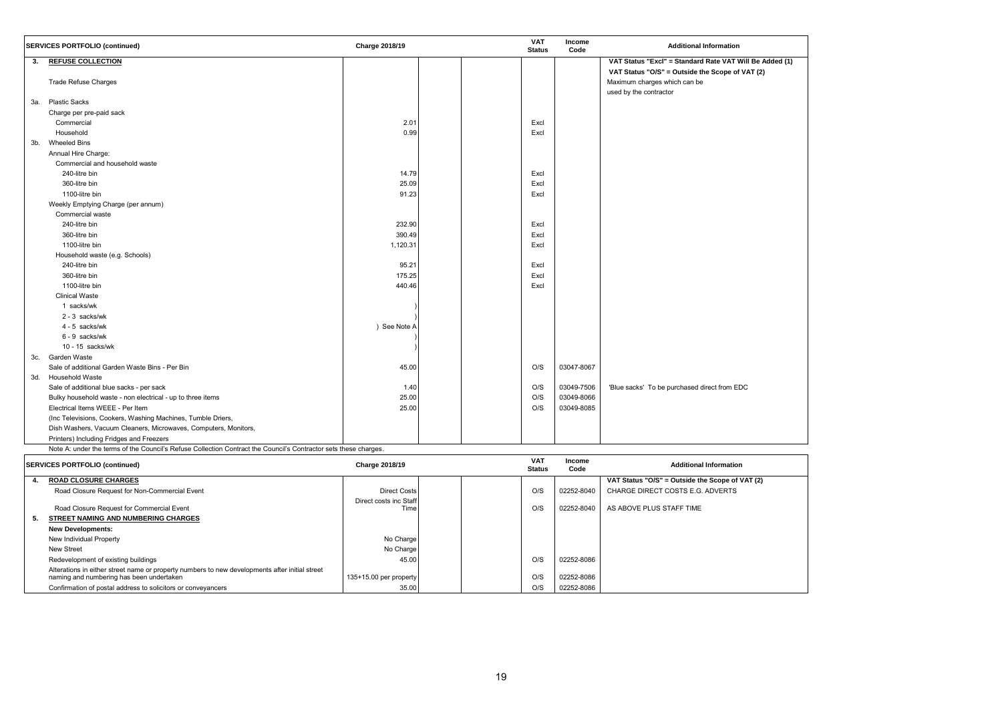

|     | <b>SERVICES PORTFOLIO (continued)</b>                                                                            | <b>Charge 2018/19</b> | <b>VAT</b><br><b>Status</b> | Income<br>Code | <b>Additional Information</b>                                                                             |
|-----|------------------------------------------------------------------------------------------------------------------|-----------------------|-----------------------------|----------------|-----------------------------------------------------------------------------------------------------------|
| 3.  | <b>REFUSE COLLECTION</b>                                                                                         |                       |                             |                | VAT Status "Excl" = Standard Rate VAT Will Be Added (1)                                                   |
|     | <b>Trade Refuse Charges</b>                                                                                      |                       |                             |                | VAT Status "O/S" = Outside the Scope of VAT (2)<br>Maximum charges which can be<br>used by the contractor |
| 3а. | <b>Plastic Sacks</b>                                                                                             |                       |                             |                |                                                                                                           |
|     | Charge per pre-paid sack                                                                                         |                       |                             |                |                                                                                                           |
|     | Commercial                                                                                                       | 2.01                  | Excl                        |                |                                                                                                           |
|     | Household                                                                                                        | 0.99                  | Excl                        |                |                                                                                                           |
|     | 3b. Wheeled Bins                                                                                                 |                       |                             |                |                                                                                                           |
|     | Annual Hire Charge:                                                                                              |                       |                             |                |                                                                                                           |
|     | Commercial and household waste                                                                                   |                       |                             |                |                                                                                                           |
|     | 240-litre bin                                                                                                    | 14.79                 | Excl                        |                |                                                                                                           |
|     | 360-litre bin                                                                                                    | 25.09                 | Excl                        |                |                                                                                                           |
|     | 1100-litre bin                                                                                                   | 91.23                 | Excl                        |                |                                                                                                           |
|     | Weekly Emptying Charge (per annum)                                                                               |                       |                             |                |                                                                                                           |
|     | Commercial waste                                                                                                 |                       |                             |                |                                                                                                           |
|     | 240-litre bin                                                                                                    | 232.90                | Excl                        |                |                                                                                                           |
|     | 360-litre bin                                                                                                    | 390.49                | Excl                        |                |                                                                                                           |
|     | 1100-litre bin                                                                                                   | 1,120.31              | Excl                        |                |                                                                                                           |
|     | Household waste (e.g. Schools)                                                                                   |                       |                             |                |                                                                                                           |
|     | 240-litre bin                                                                                                    | 95.21                 | Excl                        |                |                                                                                                           |
|     | 360-litre bin                                                                                                    | 175.25                | Excl                        |                |                                                                                                           |
|     | 1100-litre bin                                                                                                   | 440.46                | Excl                        |                |                                                                                                           |
|     | <b>Clinical Waste</b>                                                                                            |                       |                             |                |                                                                                                           |
|     | 1 sacks/wk                                                                                                       |                       |                             |                |                                                                                                           |
|     | 2 - 3 sacks/wk                                                                                                   |                       |                             |                |                                                                                                           |
|     | 4 - 5 sacks/wk                                                                                                   | ) See Note A          |                             |                |                                                                                                           |
|     | 6 - 9 sacks/wk                                                                                                   |                       |                             |                |                                                                                                           |
|     | 10 - 15 sacks/wk                                                                                                 |                       |                             |                |                                                                                                           |
| 3c. | Garden Waste                                                                                                     |                       |                             |                |                                                                                                           |
|     | Sale of additional Garden Waste Bins - Per Bin                                                                   | 45.00                 | O/S                         | 03047-8067     |                                                                                                           |
| 3d. | <b>Household Waste</b>                                                                                           |                       |                             |                |                                                                                                           |
|     | Sale of additional blue sacks - per sack                                                                         | 1.40                  | O/S                         | 03049-7506     | 'Blue sacks' To be purchased direct from EDC                                                              |
|     | Bulky household waste - non electrical - up to three items                                                       | 25.00                 | O/S                         | 03049-8066     |                                                                                                           |
|     | Electrical Items WEEE - Per Item                                                                                 | 25.00                 | O/S                         | 03049-8085     |                                                                                                           |
|     | (Inc Televisions, Cookers, Washing Machines, Tumble Driers,                                                      |                       |                             |                |                                                                                                           |
|     | Dish Washers, Vacuum Cleaners, Microwaves, Computers, Monitors,                                                  |                       |                             |                |                                                                                                           |
|     | Printers) Including Fridges and Freezers                                                                         |                       |                             |                |                                                                                                           |
|     | Note A: under the terms of the Council's Refuse Collection Contract the Council's Contractor sets these charges. |                       |                             |                |                                                                                                           |

|    | <b>SERVICES PORTFOLIO (continued)</b>                                                                                                      | Charge 2018/19         |  | <b>VAT</b><br><b>Status</b> | <b>Income</b><br>Code | <b>Additional Information</b>                   |
|----|--------------------------------------------------------------------------------------------------------------------------------------------|------------------------|--|-----------------------------|-----------------------|-------------------------------------------------|
|    | <b>ROAD CLOSURE CHARGES</b>                                                                                                                |                        |  |                             |                       | VAT Status "O/S" = Outside the Scope of VAT (2) |
|    | Road Closure Request for Non-Commercial Event                                                                                              | <b>Direct Costs</b>    |  | O/S                         | 02252-8040            | CHARGE DIRECT COSTS E.G. ADVERTS                |
|    |                                                                                                                                            | Direct costs inc Staff |  |                             |                       |                                                 |
|    | Road Closure Request for Commercial Event                                                                                                  | Time                   |  | O/S                         | 02252-8040            | AS ABOVE PLUS STAFF TIME                        |
| 5. | <b>STREET NAMING AND NUMBERING CHARGES</b>                                                                                                 |                        |  |                             |                       |                                                 |
|    | <b>New Developments:</b>                                                                                                                   |                        |  |                             |                       |                                                 |
|    | New Individual Property                                                                                                                    | No Charge              |  |                             |                       |                                                 |
|    | New Street                                                                                                                                 | No Charge              |  |                             |                       |                                                 |
|    | Redevelopment of existing buildings                                                                                                        | 45.00                  |  | O/S                         | 02252-8086            |                                                 |
|    | Alterations in either street name or property numbers to new developments after initial street<br>naming and numbering has been undertaken | 135+15.00 per property |  | O/S                         | 02252-8086            |                                                 |
|    | Confirmation of postal address to solicitors or conveyancers                                                                               | 35.00                  |  | O/S                         | 02252-8086            |                                                 |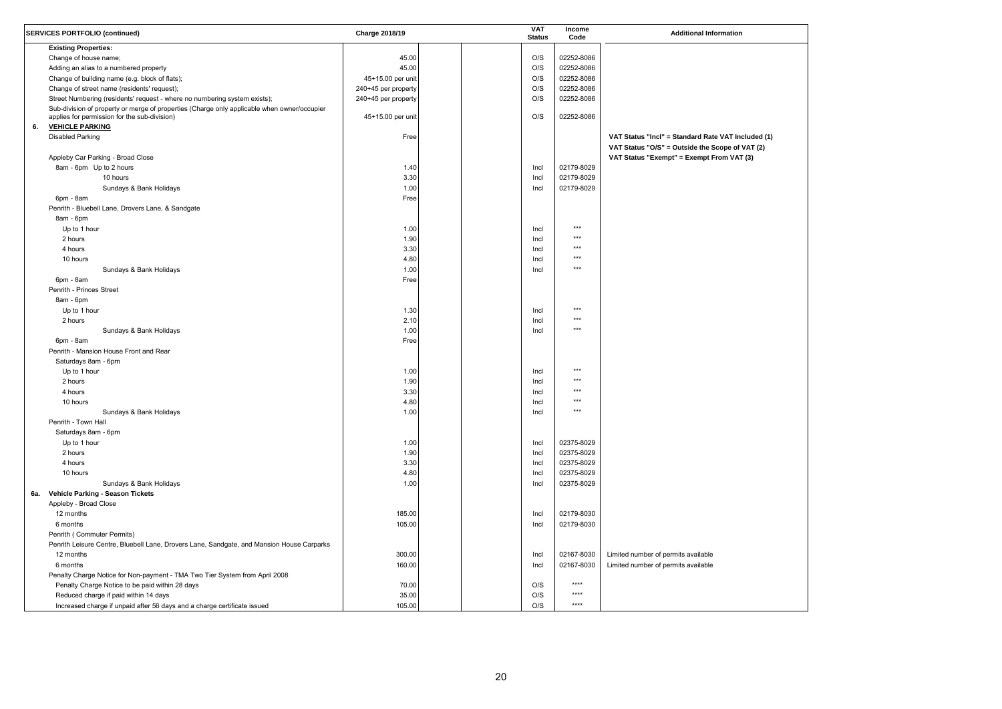| uded (1) |  |
|----------|--|
| AT (2)   |  |
| 3)       |  |
|          |  |
|          |  |
|          |  |
|          |  |
|          |  |
|          |  |
|          |  |
|          |  |
|          |  |
|          |  |
|          |  |
|          |  |
|          |  |
|          |  |
|          |  |
|          |  |
|          |  |
|          |  |
|          |  |
|          |  |
|          |  |
|          |  |
|          |  |
|          |  |
|          |  |
|          |  |
|          |  |
|          |  |
|          |  |
|          |  |
|          |  |
|          |  |
|          |  |
|          |  |
|          |  |
|          |  |
|          |  |
|          |  |
|          |  |
|          |  |
|          |  |
|          |  |
|          |  |

|     | <b>SERVICES PORTFOLIO (continued)</b>                                                                                                       | <b>Charge 2018/19</b> | <b>VAT</b><br><b>Status</b> | Income<br>Code | <b>Additional Information</b>                                                                         |
|-----|---------------------------------------------------------------------------------------------------------------------------------------------|-----------------------|-----------------------------|----------------|-------------------------------------------------------------------------------------------------------|
|     | <b>Existing Properties:</b>                                                                                                                 |                       |                             |                |                                                                                                       |
|     | Change of house name;                                                                                                                       | 45.00                 | O/S                         | 02252-8086     |                                                                                                       |
|     | Adding an alias to a numbered property                                                                                                      | 45.00                 | O/S                         | 02252-8086     |                                                                                                       |
|     | Change of building name (e.g. block of flats);                                                                                              | 45+15.00 per unit     | O/S                         | 02252-8086     |                                                                                                       |
|     | Change of street name (residents' request);                                                                                                 | 240+45 per property   | O/S                         | 02252-8086     |                                                                                                       |
|     | Street Numbering (residents' request - where no numbering system exists);                                                                   | 240+45 per property   | O/S                         | 02252-8086     |                                                                                                       |
|     | Sub-division of property or merge of properties (Charge only applicable when owner/occupier<br>applies for permission for the sub-division) | 45+15.00 per unit     | O/S                         | 02252-8086     |                                                                                                       |
| 6.  | <b>VEHICLE PARKING</b>                                                                                                                      |                       |                             |                |                                                                                                       |
|     | <b>Disabled Parking</b>                                                                                                                     | Free                  |                             |                | VAT Status "Incl" = Standard Rate VAT Included (1)<br>VAT Status "O/S" = Outside the Scope of VAT (2) |
|     | Appleby Car Parking - Broad Close                                                                                                           |                       |                             |                | VAT Status "Exempt" = Exempt From VAT (3)                                                             |
|     | 8am - 6pm Up to 2 hours                                                                                                                     | 1.40                  | Incl                        | 02179-8029     |                                                                                                       |
|     | 10 hours                                                                                                                                    | 3.30                  | Incl                        | 02179-8029     |                                                                                                       |
|     | Sundays & Bank Holidays                                                                                                                     | 1.00                  | Incl                        | 02179-8029     |                                                                                                       |
|     | 6pm - 8am                                                                                                                                   | Free                  |                             |                |                                                                                                       |
|     | Penrith - Bluebell Lane, Drovers Lane, & Sandgate                                                                                           |                       |                             |                |                                                                                                       |
|     | 8am - 6pm                                                                                                                                   |                       |                             |                |                                                                                                       |
|     | Up to 1 hour                                                                                                                                | 1.00                  | Incl                        | $***$          |                                                                                                       |
|     | 2 hours                                                                                                                                     | 1.90                  | Incl                        | $***$          |                                                                                                       |
|     | 4 hours                                                                                                                                     | 3.30                  | Incl                        | ***            |                                                                                                       |
|     | 10 hours                                                                                                                                    | 4.80                  | Incl                        | ***            |                                                                                                       |
|     | Sundays & Bank Holidays                                                                                                                     | 1.00                  | Incl                        | ***            |                                                                                                       |
|     | 6pm - 8am                                                                                                                                   | Free                  |                             |                |                                                                                                       |
|     | Penrith - Princes Street                                                                                                                    |                       |                             |                |                                                                                                       |
|     | 8am - 6pm                                                                                                                                   |                       |                             |                |                                                                                                       |
|     | Up to 1 hour                                                                                                                                | 1.30                  | Incl                        | $***$          |                                                                                                       |
|     | 2 hours                                                                                                                                     | 2.10                  | Incl                        | ***            |                                                                                                       |
|     | Sundays & Bank Holidays                                                                                                                     | 1.00                  | Incl                        | ***            |                                                                                                       |
|     | 6pm - 8am                                                                                                                                   | Free                  |                             |                |                                                                                                       |
|     | Penrith - Mansion House Front and Rear                                                                                                      |                       |                             |                |                                                                                                       |
|     | Saturdays 8am - 6pm                                                                                                                         |                       |                             |                |                                                                                                       |
|     | Up to 1 hour                                                                                                                                | 1.00                  | Incl                        | $***$          |                                                                                                       |
|     | 2 hours                                                                                                                                     |                       |                             | $***$          |                                                                                                       |
|     |                                                                                                                                             | 1.90                  | Incl                        | $***$          |                                                                                                       |
|     | 4 hours                                                                                                                                     | 3.30                  | Incl                        | $***$          |                                                                                                       |
|     | 10 hours                                                                                                                                    | 4.80                  | Incl                        | $***$          |                                                                                                       |
|     | Sundays & Bank Holidays                                                                                                                     | 1.00                  | Incl                        |                |                                                                                                       |
|     | Penrith - Town Hall                                                                                                                         |                       |                             |                |                                                                                                       |
|     | Saturdays 8am - 6pm                                                                                                                         |                       |                             |                |                                                                                                       |
|     | Up to 1 hour                                                                                                                                | 1.00                  | Incl                        | 02375-8029     |                                                                                                       |
|     | 2 hours                                                                                                                                     | 1.90                  | Incl                        | 02375-8029     |                                                                                                       |
|     | 4 hours                                                                                                                                     | 3.30                  | Incl                        | 02375-8029     |                                                                                                       |
|     | 10 hours                                                                                                                                    | 4.80                  | Incl                        | 02375-8029     |                                                                                                       |
|     | Sundays & Bank Holidays                                                                                                                     | 1.00                  | Incl                        | 02375-8029     |                                                                                                       |
| 6а. | <b>Vehicle Parking - Season Tickets</b>                                                                                                     |                       |                             |                |                                                                                                       |
|     | Appleby - Broad Close                                                                                                                       |                       |                             |                |                                                                                                       |
|     | 12 months                                                                                                                                   | 185.00                | Incl                        | 02179-8030     |                                                                                                       |
|     | 6 months                                                                                                                                    | 105.00                | Incl                        | 02179-8030     |                                                                                                       |
|     | Penrith (Commuter Permits)                                                                                                                  |                       |                             |                |                                                                                                       |
|     | Penrith Leisure Centre, Bluebell Lane, Drovers Lane, Sandgate, and Mansion House Carparks                                                   |                       |                             |                |                                                                                                       |
|     | 12 months                                                                                                                                   | 300.00                | Incl                        | 02167-8030     | Limited number of permits available                                                                   |
|     | 6 months                                                                                                                                    | 160.00                | Incl                        | 02167-8030     | Limited number of permits available                                                                   |
|     | Penalty Charge Notice for Non-payment - TMA Two Tier System from April 2008                                                                 |                       |                             |                |                                                                                                       |
|     | Penalty Charge Notice to be paid within 28 days                                                                                             | 70.00                 | O/S                         | $****$         |                                                                                                       |
|     | Reduced charge if paid within 14 days                                                                                                       | 35.00                 | O/S                         | $***$          |                                                                                                       |
|     | Increased charge if unpaid after 56 days and a charge certificate issued                                                                    | 105.00                | O/S                         | $****$         |                                                                                                       |
|     |                                                                                                                                             |                       |                             |                |                                                                                                       |